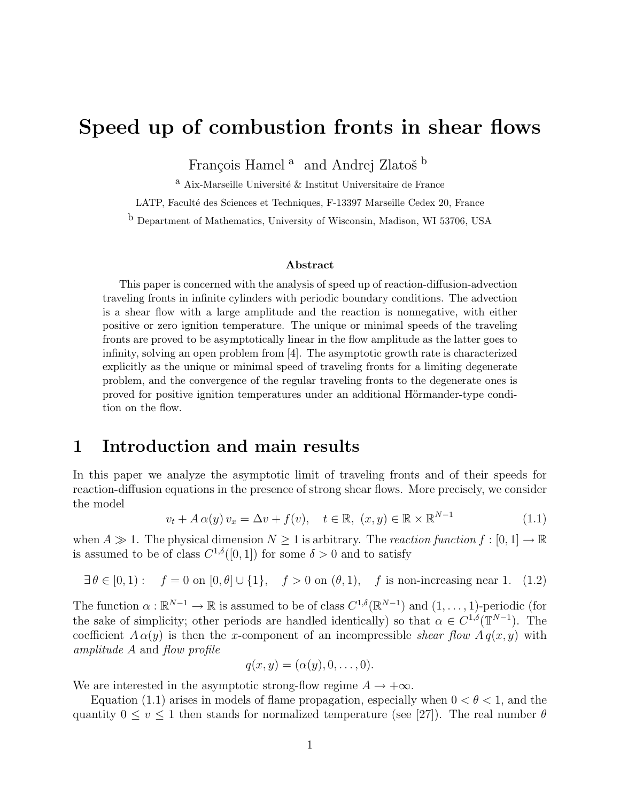# Speed up of combustion fronts in shear flows

François Hamel<sup>a</sup> and Andrej Zlatoš<sup>b</sup>

 $^{\rm a}$ Aix-Marseille Université $\&$  Institut Universitaire de France

LATP, Faculté des Sciences et Techniques, F-13397 Marseille Cedex 20, France

b Department of Mathematics, University of Wisconsin, Madison, WI 53706, USA

#### Abstract

This paper is concerned with the analysis of speed up of reaction-diffusion-advection traveling fronts in infinite cylinders with periodic boundary conditions. The advection is a shear flow with a large amplitude and the reaction is nonnegative, with either positive or zero ignition temperature. The unique or minimal speeds of the traveling fronts are proved to be asymptotically linear in the flow amplitude as the latter goes to infinity, solving an open problem from [4]. The asymptotic growth rate is characterized explicitly as the unique or minimal speed of traveling fronts for a limiting degenerate problem, and the convergence of the regular traveling fronts to the degenerate ones is proved for positive ignition temperatures under an additional Hörmander-type condition on the flow.

## 1 Introduction and main results

In this paper we analyze the asymptotic limit of traveling fronts and of their speeds for reaction-diffusion equations in the presence of strong shear flows. More precisely, we consider the model

$$
v_t + A\alpha(y)v_x = \Delta v + f(v), \quad t \in \mathbb{R}, \ (x, y) \in \mathbb{R} \times \mathbb{R}^{N-1}
$$
 (1.1)

when  $A \gg 1$ . The physical dimension  $N \geq 1$  is arbitrary. The reaction function  $f : [0, 1] \to \mathbb{R}$ is assumed to be of class  $C^{1,\delta}([0,1])$  for some  $\delta > 0$  and to satisfy

$$
\exists \theta \in [0,1): \quad f = 0 \text{ on } [0,\theta] \cup \{1\}, \quad f > 0 \text{ on } (\theta,1), \quad f \text{ is non-increasing near } 1. \tag{1.2}
$$

The function  $\alpha : \mathbb{R}^{N-1} \to \mathbb{R}$  is assumed to be of class  $C^{1,\delta}(\mathbb{R}^{N-1})$  and  $(1,\ldots,1)$ -periodic (for the sake of simplicity; other periods are handled identically) so that  $\alpha \in C^{1,\delta}(\mathbb{T}^{N-1})$ . The coefficient  $A \alpha(y)$  is then the x-component of an incompressible shear flow  $A q(x, y)$  with amplitude A and flow profile

$$
q(x,y)=(\alpha(y),0,\ldots,0).
$$

We are interested in the asymptotic strong-flow regime  $A \rightarrow +\infty$ .

Equation (1.1) arises in models of flame propagation, especially when  $0 < \theta < 1$ , and the quantity  $0 \le v \le 1$  then stands for normalized temperature (see [27]). The real number  $\theta$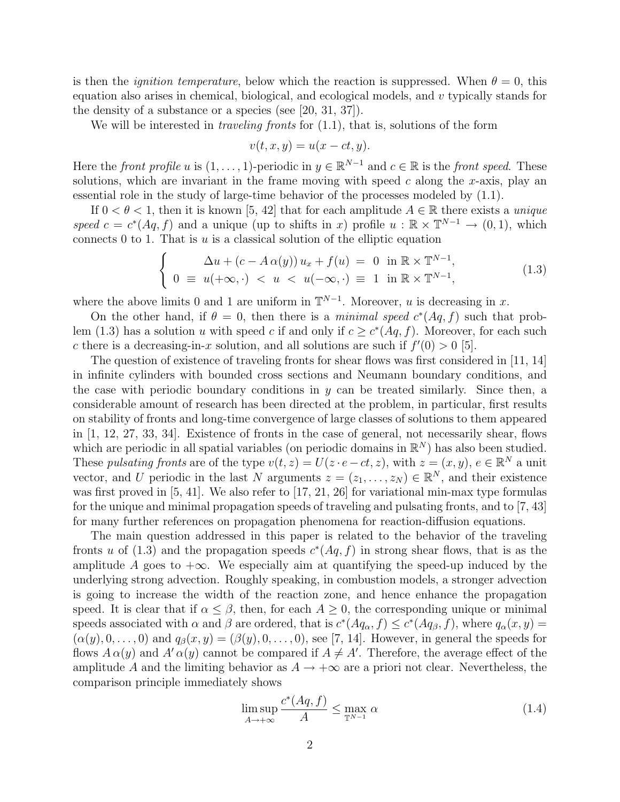is then the *ignition temperature*, below which the reaction is suppressed. When  $\theta = 0$ , this equation also arises in chemical, biological, and ecological models, and v typically stands for the density of a substance or a species (see [20, 31, 37]).

We will be interested in *traveling fronts* for  $(1.1)$ , that is, solutions of the form

$$
v(t, x, y) = u(x - ct, y).
$$

Here the front profile u is  $(1,\ldots,1)$ -periodic in  $y \in \mathbb{R}^{N-1}$  and  $c \in \mathbb{R}$  is the front speed. These solutions, which are invariant in the frame moving with speed  $c$  along the x-axis, play an essential role in the study of large-time behavior of the processes modeled by (1.1).

If  $0 < \theta < 1$ , then it is known [5, 42] that for each amplitude  $A \in \mathbb{R}$  there exists a unique speed  $c = c^*(Aq, f)$  and a unique (up to shifts in x) profile  $u : \mathbb{R} \times \mathbb{T}^{N-1} \to (0, 1)$ , which connects 0 to 1. That is  $u$  is a classical solution of the elliptic equation

$$
\begin{cases}\n\Delta u + (c - A\alpha(y)) u_x + f(u) = 0 \text{ in } \mathbb{R} \times \mathbb{T}^{N-1}, \\
0 \equiv u(+\infty, \cdot) < u < u(-\infty, \cdot) \equiv 1 \text{ in } \mathbb{R} \times \mathbb{T}^{N-1},\n\end{cases} \tag{1.3}
$$

where the above limits 0 and 1 are uniform in  $\mathbb{T}^{N-1}$ . Moreover, u is decreasing in x.

On the other hand, if  $\theta = 0$ , then there is a minimal speed  $c^*(Aq, f)$  such that problem (1.3) has a solution u with speed c if and only if  $c \geq c^*(Aq, f)$ . Moreover, for each such c there is a decreasing-in-x solution, and all solutions are such if  $f'(0) > 0$  [5].

The question of existence of traveling fronts for shear flows was first considered in [11, 14] in infinite cylinders with bounded cross sections and Neumann boundary conditions, and the case with periodic boundary conditions in  $y$  can be treated similarly. Since then, a considerable amount of research has been directed at the problem, in particular, first results on stability of fronts and long-time convergence of large classes of solutions to them appeared in [1, 12, 27, 33, 34]. Existence of fronts in the case of general, not necessarily shear, flows which are periodic in all spatial variables (on periodic domains in  $\mathbb{R}^N$ ) has also been studied. These pulsating fronts are of the type  $v(t, z) = U(z \cdot e - ct, z)$ , with  $z = (x, y), e \in \mathbb{R}^N$  a unit vector, and U periodic in the last N arguments  $z = (z_1, \ldots, z_N) \in \mathbb{R}^N$ , and their existence was first proved in  $[5, 41]$ . We also refer to  $[17, 21, 26]$  for variational min-max type formulas for the unique and minimal propagation speeds of traveling and pulsating fronts, and to [7, 43] for many further references on propagation phenomena for reaction-diffusion equations.

The main question addressed in this paper is related to the behavior of the traveling fronts u of (1.3) and the propagation speeds  $c^*(Aq, f)$  in strong shear flows, that is as the amplitude A goes to  $+\infty$ . We especially aim at quantifying the speed-up induced by the underlying strong advection. Roughly speaking, in combustion models, a stronger advection is going to increase the width of the reaction zone, and hence enhance the propagation speed. It is clear that if  $\alpha \leq \beta$ , then, for each  $A \geq 0$ , the corresponding unique or minimal speeds associated with  $\alpha$  and  $\beta$  are ordered, that is  $c^*(Aq_\alpha, f) \leq c^*(Aq_\beta, f)$ , where  $q_\alpha(x, y) =$  $(\alpha(y), 0, \ldots, 0)$  and  $q_\beta(x, y) = (\beta(y), 0, \ldots, 0)$ , see [7, 14]. However, in general the speeds for flows  $A \alpha(y)$  and  $A' \alpha(y)$  cannot be compared if  $A \neq A'$ . Therefore, the average effect of the amplitude A and the limiting behavior as  $A \rightarrow +\infty$  are a priori not clear. Nevertheless, the comparison principle immediately shows

$$
\limsup_{A \to +\infty} \frac{c^*(Aq, f)}{A} \le \max_{\mathbb{T}^{N-1}} \alpha \tag{1.4}
$$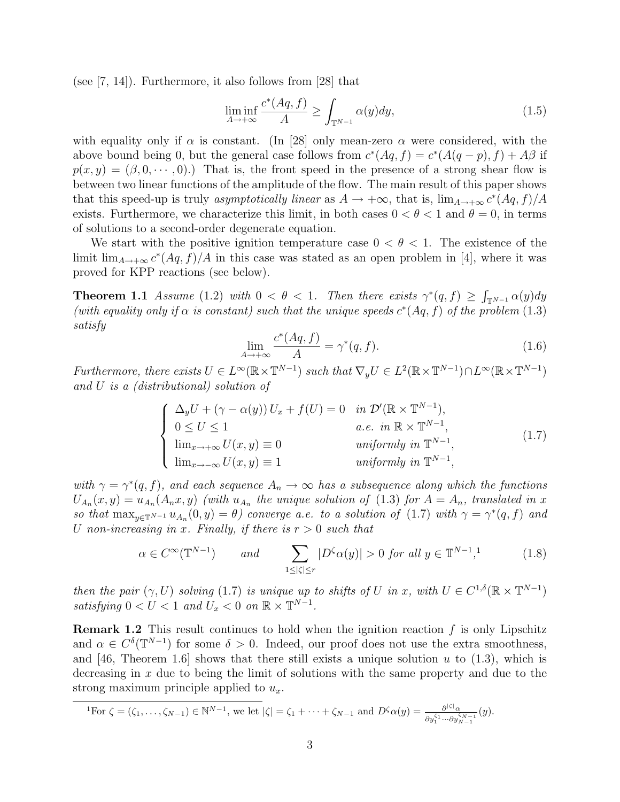(see  $(7, 14)$ ). Furthermore, it also follows from  $(28)$  that

$$
\liminf_{A \to +\infty} \frac{c^*(Aq, f)}{A} \ge \int_{\mathbb{T}^{N-1}} \alpha(y) dy,\tag{1.5}
$$

with equality only if  $\alpha$  is constant. (In [28] only mean-zero  $\alpha$  were considered, with the above bound being 0, but the general case follows from  $c^*(Aq, f) = c^*(A(q-p), f) + A\beta$  if  $p(x, y) = (\beta, 0, \dots, 0).$  That is, the front speed in the presence of a strong shear flow is between two linear functions of the amplitude of the flow. The main result of this paper shows that this speed-up is truly asymptotically linear as  $A \to +\infty$ , that is,  $\lim_{A \to +\infty} c^*(Aq, f)/A$ exists. Furthermore, we characterize this limit, in both cases  $0 < \theta < 1$  and  $\theta = 0$ , in terms of solutions to a second-order degenerate equation.

We start with the positive ignition temperature case  $0 < \theta < 1$ . The existence of the limit  $\lim_{A\to+\infty} c^*(Aq, f)/A$  in this case was stated as an open problem in [4], where it was proved for KPP reactions (see below).

**Theorem 1.1** Assume (1.2) with  $0 < \theta < 1$ . Then there exists  $\gamma^*(q, f) \geq \int_{\mathbb{T}^{N-1}} \alpha(y) dy$ (with equality only if  $\alpha$  is constant) such that the unique speeds  $c^*(Aq, f)$  of the problem (1.3) satisfy

$$
\lim_{A \to +\infty} \frac{c^*(Aq, f)}{A} = \gamma^*(q, f). \tag{1.6}
$$

Furthermore, there exists  $U \in L^{\infty}(\mathbb{R} \times \mathbb{T}^{N-1})$  such that  $\nabla_y U \in L^2(\mathbb{R} \times \mathbb{T}^{N-1}) \cap L^{\infty}(\mathbb{R} \times \mathbb{T}^{N-1})$ and U is a (distributional) solution of

$$
\begin{cases}\n\Delta_y U + (\gamma - \alpha(y)) U_x + f(U) = 0 & \text{in } \mathcal{D}'(\mathbb{R} \times \mathbb{T}^{N-1}), \\
0 \le U \le 1 & \text{a.e. in } \mathbb{R} \times \mathbb{T}^{N-1}, \\
\lim_{x \to +\infty} U(x, y) \equiv 0 & \text{uniformly in } \mathbb{T}^{N-1}, \\
\lim_{x \to -\infty} U(x, y) \equiv 1 & \text{uniformly in } \mathbb{T}^{N-1},\n\end{cases}
$$
\n(1.7)

with  $\gamma = \gamma^*(q, f)$ , and each sequence  $A_n \to \infty$  has a subsequence along which the functions  $U_{A_n}(x,y) = u_{A_n}(A_n x, y)$  (with  $u_{A_n}$  the unique solution of (1.3) for  $A = A_n$ , translated in x so that  $\max_{y \in \mathbb{T}^{N-1}} u_{A_n}(0, y) = \theta$  converge a.e. to a solution of (1.7) with  $\gamma = \gamma^*(q, f)$  and U non-increasing in x. Finally, if there is  $r > 0$  such that

$$
\alpha \in C^{\infty}(\mathbb{T}^{N-1}) \qquad \text{and} \qquad \sum_{1 \leq |\zeta| \leq r} |D^{\zeta}\alpha(y)| > 0 \text{ for all } y \in \mathbb{T}^{N-1}, \tag{1.8}
$$

then the pair  $(\gamma, U)$  solving (1.7) is unique up to shifts of U in x, with  $U \in C^{1,\delta}(\mathbb{R} \times \mathbb{T}^{N-1})$ satisfying  $0 < U < 1$  and  $U_x < 0$  on  $\mathbb{R} \times \mathbb{T}^{N-1}$ .

**Remark 1.2** This result continues to hold when the ignition reaction  $f$  is only Lipschitz and  $\alpha \in C^{\delta}(\mathbb{T}^{N-1})$  for some  $\delta > 0$ . Indeed, our proof does not use the extra smoothness, and [46, Theorem 1.6] shows that there still exists a unique solution  $u$  to (1.3), which is decreasing in  $x$  due to being the limit of solutions with the same property and due to the strong maximum principle applied to  $u_x$ .

$$
{}^{1}\text{For }\zeta=(\zeta_{1},\ldots,\zeta_{N-1})\in\mathbb{N}^{N-1}, \text{ we let }|\zeta|=\zeta_{1}+\cdots+\zeta_{N-1} \text{ and } D^{\zeta}\alpha(y)=\frac{\partial^{|\zeta|}\alpha}{\partial y_{1}^{\zeta_{1}}\cdots\partial y_{N-1}^{\zeta_{N-1}}}(y).
$$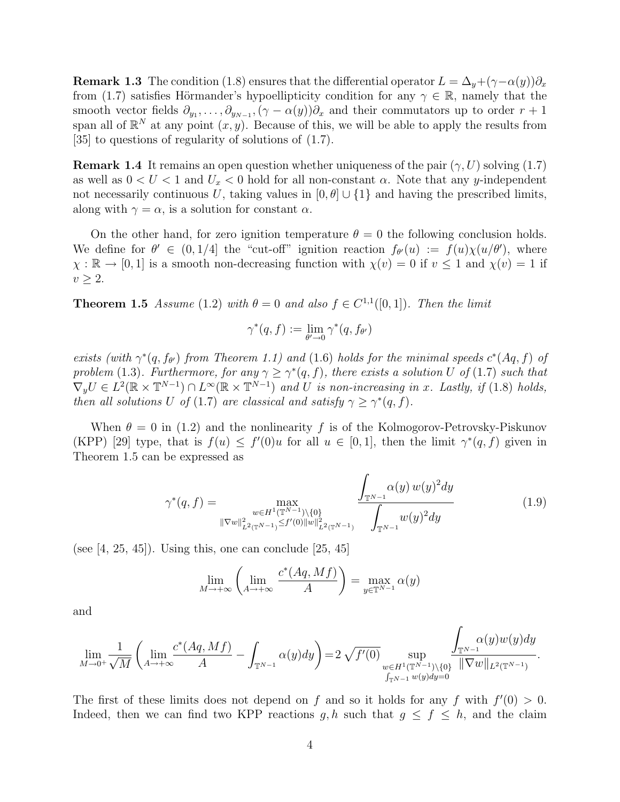**Remark 1.3** The condition (1.8) ensures that the differential operator  $L = \Delta_y + (\gamma - \alpha(y))\partial_x$ from (1.7) satisfies Hörmander's hypoellipticity condition for any  $\gamma \in \mathbb{R}$ , namely that the smooth vector fields  $\partial_{y_1}, \ldots, \partial_{y_{N-1}}, (\gamma - \alpha(y))\partial_x$  and their commutators up to order  $r + 1$ span all of  $\mathbb{R}^N$  at any point  $(x, y)$ . Because of this, we will be able to apply the results from [35] to questions of regularity of solutions of (1.7).

**Remark 1.4** It remains an open question whether uniqueness of the pair  $(\gamma, U)$  solving  $(1.7)$ as well as  $0 < U < 1$  and  $U_x < 0$  hold for all non-constant  $\alpha$ . Note that any y-independent not necessarily continuous U, taking values in  $[0, \theta] \cup \{1\}$  and having the prescribed limits, along with  $\gamma = \alpha$ , is a solution for constant  $\alpha$ .

On the other hand, for zero ignition temperature  $\theta = 0$  the following conclusion holds. We define for  $\theta' \in (0,1/4]$  the "cut-off" ignition reaction  $f_{\theta}(u) := f(u)\chi(u/\theta')$ , where  $\chi : \mathbb{R} \to [0, 1]$  is a smooth non-decreasing function with  $\chi(v) = 0$  if  $v \le 1$  and  $\chi(v) = 1$  if  $v \geq 2$ .

**Theorem 1.5** Assume (1.2) with  $\theta = 0$  and also  $f \in C^{1,1}([0,1])$ . Then the limit

$$
\gamma^*(q, f) := \lim_{\theta' \to 0} \gamma^*(q, f_{\theta'})
$$

exists (with  $\gamma^*(q, f_{\theta'})$  from Theorem 1.1) and (1.6) holds for the minimal speeds  $c^*(Aq, f)$  of problem (1.3). Furthermore, for any  $\gamma \geq \gamma^*(q, f)$ , there exists a solution U of (1.7) such that  $\nabla_y U \in L^2(\mathbb{R} \times \mathbb{T}^{N-1}) \cap L^\infty(\mathbb{R} \times \mathbb{T}^{N-1})$  and U is non-increasing in x. Lastly, if (1.8) holds, then all solutions U of (1.7) are classical and satisfy  $\gamma \geq \gamma^*(q, f)$ .

When  $\theta = 0$  in (1.2) and the nonlinearity f is of the Kolmogorov-Petrovsky-Piskunov (KPP) [29] type, that is  $f(u) \leq f'(0)u$  for all  $u \in [0,1]$ , then the limit  $\gamma^*(q, f)$  given in Theorem 1.5 can be expressed as

$$
\gamma^*(q, f) = \max_{\substack{w \in H^1(\mathbb{T}^{N-1}) \setminus \{0\} \\ \|\nabla w\|_{L^2(\mathbb{T}^{N-1})}^2 \le f'(0) \|w\|_{L^2(\mathbb{T}^{N-1})}^2}} \frac{\int_{\mathbb{T}^{N-1}} \alpha(y) w(y)^2 dy}{\int_{\mathbb{T}^{N-1}} w(y)^2 dy} \tag{1.9}
$$

(see  $[4, 25, 45]$ ). Using this, one can conclude  $[25, 45]$ 

$$
\lim_{M \to +\infty} \left( \lim_{A \to +\infty} \frac{c^*(Aq, Mf)}{A} \right) = \max_{y \in \mathbb{T}^{N-1}} \alpha(y)
$$

and

$$
\lim_{M\to 0^+} \frac{1}{\sqrt{M}}\left(\lim_{A\to+\infty} \frac{c^*(Aq,Mf)}{A}-\int_{\mathbb{T}^{N-1}}\alpha(y)dy\right)=2\sqrt{f'(0)}\sup_{\substack{w\in H^1(\mathbb{T}^{N-1})\backslash\{0\}\\ \int_{\mathbb{T}^{N-1}}w(y)dy=0}}\frac{\displaystyle\int_{\mathbb{T}^{N-1}}\alpha(y)w(y)dy}{\|\nabla w\|_{L^2(\mathbb{T}^{N-1})}}.
$$

The first of these limits does not depend on f and so it holds for any f with  $f'(0) > 0$ . Indeed, then we can find two KPP reactions g, h such that  $g \leq f \leq h$ , and the claim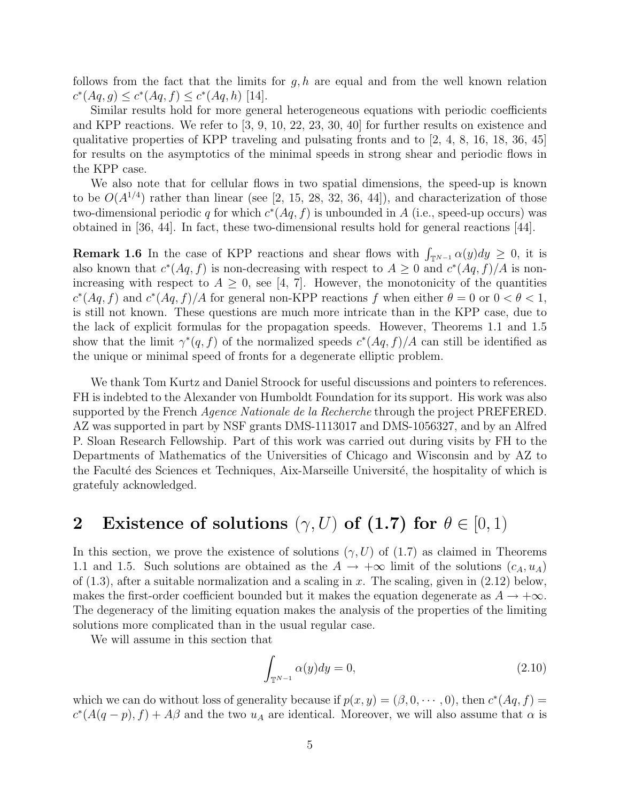follows from the fact that the limits for  $g, h$  are equal and from the well known relation  $c^*(Aq, g) \leq c^*(Aq, f) \leq c^*(Aq, h)$  [14].

Similar results hold for more general heterogeneous equations with periodic coefficients and KPP reactions. We refer to [3, 9, 10, 22, 23, 30, 40] for further results on existence and qualitative properties of KPP traveling and pulsating fronts and to [2, 4, 8, 16, 18, 36, 45] for results on the asymptotics of the minimal speeds in strong shear and periodic flows in the KPP case.

We also note that for cellular flows in two spatial dimensions, the speed-up is known to be  $O(A^{1/4})$  rather than linear (see [2, 15, 28, 32, 36, 44]), and characterization of those two-dimensional periodic q for which  $c^*(Aq, f)$  is unbounded in A (i.e., speed-up occurs) was obtained in [36, 44]. In fact, these two-dimensional results hold for general reactions [44].

**Remark 1.6** In the case of KPP reactions and shear flows with  $\int_{\mathbb{T}^{N-1}} \alpha(y) dy \geq 0$ , it is also known that  $c^*(Aq, f)$  is non-decreasing with respect to  $A \geq 0$  and  $c^*(Aq, f)/A$  is nonincreasing with respect to  $A \geq 0$ , see [4, 7]. However, the monotonicity of the quantities  $c^*(Aq, f)$  and  $c^*(Aq, f)/A$  for general non-KPP reactions f when either  $\theta = 0$  or  $0 < \theta < 1$ , is still not known. These questions are much more intricate than in the KPP case, due to the lack of explicit formulas for the propagation speeds. However, Theorems 1.1 and 1.5 show that the limit  $\gamma^*(q, f)$  of the normalized speeds  $c^*(Aq, f)/A$  can still be identified as the unique or minimal speed of fronts for a degenerate elliptic problem.

We thank Tom Kurtz and Daniel Stroock for useful discussions and pointers to references. FH is indebted to the Alexander von Humboldt Foundation for its support. His work was also supported by the French *Agence Nationale de la Recherche* through the project PREFERED. AZ was supported in part by NSF grants DMS-1113017 and DMS-1056327, and by an Alfred P. Sloan Research Fellowship. Part of this work was carried out during visits by FH to the Departments of Mathematics of the Universities of Chicago and Wisconsin and by AZ to the Faculté des Sciences et Techniques, Aix-Marseille Université, the hospitality of which is gratefuly acknowledged.

# 2 Existence of solutions  $(\gamma, U)$  of (1.7) for  $\theta \in [0, 1)$

In this section, we prove the existence of solutions  $(\gamma, U)$  of  $(1.7)$  as claimed in Theorems 1.1 and 1.5. Such solutions are obtained as the  $A \to +\infty$  limit of the solutions  $(c_A, u_A)$ of  $(1.3)$ , after a suitable normalization and a scaling in x. The scaling, given in  $(2.12)$  below, makes the first-order coefficient bounded but it makes the equation degenerate as  $A \rightarrow +\infty$ . The degeneracy of the limiting equation makes the analysis of the properties of the limiting solutions more complicated than in the usual regular case.

We will assume in this section that

$$
\int_{\mathbb{T}^{N-1}} \alpha(y) dy = 0,\tag{2.10}
$$

which we can do without loss of generality because if  $p(x, y) = (\beta, 0, \dots, 0)$ , then  $c^*(Aq, f) =$  $c^*(A(q-p), f) + A\beta$  and the two  $u_A$  are identical. Moreover, we will also assume that  $\alpha$  is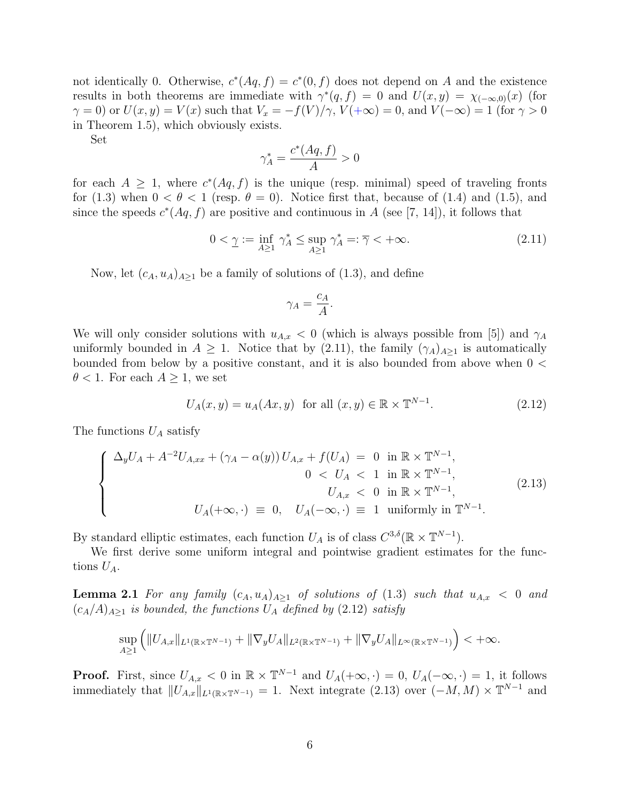not identically 0. Otherwise,  $c^*(Aq, f) = c^*(0, f)$  does not depend on A and the existence results in both theorems are immediate with  $\gamma^*(q, f) = 0$  and  $U(x, y) = \chi_{(-\infty, 0)}(x)$  (for  $\gamma = 0$ ) or  $U(x, y) = V(x)$  such that  $V_x = -f(V)/\gamma$ ,  $V(+\infty) = 0$ , and  $V(-\infty) = 1$  (for  $\gamma > 0$ ) in Theorem 1.5), which obviously exists.

Set

$$
\gamma_A^* = \frac{c^*(Aq, f)}{A} > 0
$$

for each  $A \geq 1$ , where  $c^*(Aq, f)$  is the unique (resp. minimal) speed of traveling fronts for (1.3) when  $0 < \theta < 1$  (resp.  $\theta = 0$ ). Notice first that, because of (1.4) and (1.5), and since the speeds  $c^*(Aq, f)$  are positive and continuous in A (see [7, 14]), it follows that

$$
0 < \underline{\gamma} := \inf_{A \ge 1} \gamma_A^* \le \sup_{A \ge 1} \gamma_A^* =: \overline{\gamma} < +\infty. \tag{2.11}
$$

Now, let  $(c_A, u_A)_{A\geq 1}$  be a family of solutions of (1.3), and define

$$
\gamma_A = \frac{c_A}{A}.
$$

We will only consider solutions with  $u_{A,x} < 0$  (which is always possible from [5]) and  $\gamma_A$ uniformly bounded in  $A \geq 1$ . Notice that by (2.11), the family  $(\gamma_A)_{A>1}$  is automatically bounded from below by a positive constant, and it is also bounded from above when 0 <  $\theta$  < 1. For each  $A \geq 1$ , we set

$$
U_A(x,y) = u_A(Ax,y) \quad \text{for all } (x,y) \in \mathbb{R} \times \mathbb{T}^{N-1}.
$$
 (2.12)

The functions  $U_A$  satisfy

$$
\begin{cases}\n\Delta_y U_A + A^{-2} U_{A,xx} + (\gamma_A - \alpha(y)) U_{A,x} + f(U_A) = 0 \text{ in } \mathbb{R} \times \mathbb{T}^{N-1}, \\
0 < U_A < 1 \text{ in } \mathbb{R} \times \mathbb{T}^{N-1}, \\
U_{A,x} < 0 \text{ in } \mathbb{R} \times \mathbb{T}^{N-1}, \\
U_A(+\infty, \cdot) \equiv 0, \quad U_A(-\infty, \cdot) \equiv 1 \text{ uniformly in } \mathbb{T}^{N-1}.\n\end{cases} \tag{2.13}
$$

By standard elliptic estimates, each function  $U_A$  is of class  $C^{3,\delta}(\mathbb{R} \times \mathbb{T}^{N-1})$ .

We first derive some uniform integral and pointwise gradient estimates for the functions  $U_A$ .

**Lemma 2.1** For any family  $(c_A, u_A)_{A\geq 1}$  of solutions of (1.3) such that  $u_{A,x} < 0$  and  $(c_A/A)_{A\geq 1}$  is bounded, the functions  $U_A$  defined by (2.12) satisfy

$$
\sup_{A\geq 1} \left( \|U_{A,x}\|_{L^1(\mathbb{R}\times\mathbb{T}^{N-1})} + \|\nabla_y U_A\|_{L^2(\mathbb{R}\times\mathbb{T}^{N-1})} + \|\nabla_y U_A\|_{L^\infty(\mathbb{R}\times\mathbb{T}^{N-1})} \right) < +\infty.
$$

**Proof.** First, since  $U_{A,x} < 0$  in  $\mathbb{R} \times \mathbb{T}^{N-1}$  and  $U_A(+\infty, \cdot) = 0$ ,  $U_A(-\infty, \cdot) = 1$ , it follows immediately that  $||U_{A,x}||_{L^1(\mathbb{R}\times\mathbb{T}^{N-1})} = 1$ . Next integrate (2.13) over  $(-M, M) \times \mathbb{T}^{N-1}$  and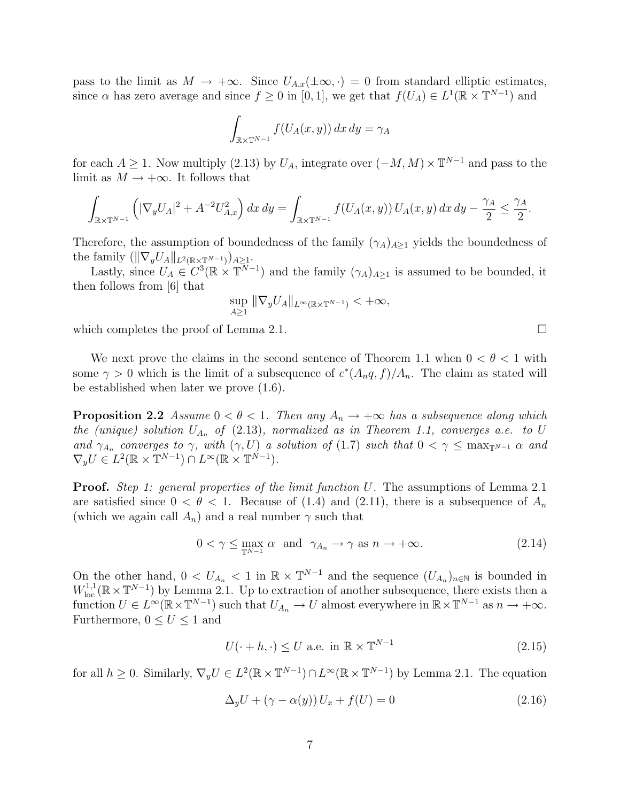pass to the limit as  $M \to +\infty$ . Since  $U_{A,x}(\pm\infty, \cdot) = 0$  from standard elliptic estimates, since  $\alpha$  has zero average and since  $f \geq 0$  in [0, 1], we get that  $f(U_A) \in L^1(\mathbb{R} \times \mathbb{T}^{N-1})$  and

$$
\int_{\mathbb{R} \times \mathbb{T}^{N-1}} f(U_A(x, y)) dx dy = \gamma_A
$$

for each  $A \geq 1$ . Now multiply (2.13) by  $U_A$ , integrate over  $(-M, M) \times \mathbb{T}^{N-1}$  and pass to the limit as  $M \to +\infty$ . It follows that

$$
\int_{\mathbb{R} \times \mathbb{T}^{N-1}} \left( |\nabla_y U_A|^2 + A^{-2} U_{A,x}^2 \right) dx \, dy = \int_{\mathbb{R} \times \mathbb{T}^{N-1}} f(U_A(x, y)) \, U_A(x, y) \, dx \, dy - \frac{\gamma_A}{2} \le \frac{\gamma_A}{2}.
$$

Therefore, the assumption of boundedness of the family  $(\gamma_A)_{A\geq 1}$  yields the boundedness of the family  $(\|\nabla_y U_A\|_{L^2(\mathbb{R}\times\mathbb{T}^{N-1})})_{A>1}.$ 

Lastly, since  $U_A \in C^3(\mathbb{R} \times \mathbb{T}^{N-1})$  and the family  $(\gamma_A)_{A\geq 1}$  is assumed to be bounded, it then follows from [6] that

$$
\sup_{A\geq 1} \|\nabla_y U_A\|_{L^\infty(\mathbb{R}\times\mathbb{T}^{N-1})} < +\infty,
$$

which completes the proof of Lemma 2.1.  $\Box$ 

We next prove the claims in the second sentence of Theorem 1.1 when  $0 < \theta < 1$  with some  $\gamma > 0$  which is the limit of a subsequence of  $c^*(A_n q, f)/A_n$ . The claim as stated will be established when later we prove (1.6).

**Proposition 2.2** Assume  $0 < \theta < 1$ . Then any  $A_n \to +\infty$  has a subsequence along which the (unique) solution  $U_{A_n}$  of (2.13), normalized as in Theorem 1.1, converges a.e. to U and  $\gamma_{A_n}$  converges to  $\gamma$ , with  $(\gamma, U)$  a solution of (1.7) such that  $0 < \gamma \leq \max_{T^{N-1}} \alpha$  and  $\nabla_y U \in L^2(\mathbb{R} \times \mathbb{T}^{N-1}) \cap L^\infty(\mathbb{R} \times \mathbb{T}^{N-1}).$ 

**Proof.** Step 1: general properties of the limit function U. The assumptions of Lemma 2.1 are satisfied since  $0 < \theta < 1$ . Because of (1.4) and (2.11), there is a subsequence of  $A_n$ (which we again call  $A_n$ ) and a real number  $\gamma$  such that

$$
0 < \gamma \le \max_{\mathbb{T}^{N-1}} \alpha \quad \text{and} \quad \gamma_{A_n} \to \gamma \quad \text{as} \quad n \to +\infty. \tag{2.14}
$$

On the other hand,  $0 < U_{A_n} < 1$  in  $\mathbb{R} \times \mathbb{T}^{N-1}$  and the sequence  $(U_{A_n})_{n \in \mathbb{N}}$  is bounded in  $W^{1,1}_{loc}(\mathbb{R} \times \mathbb{T}^{N-1})$  by Lemma 2.1. Up to extraction of another subsequence, there exists then a function  $U \in L^{\infty}(\mathbb{R} \times \mathbb{T}^{N-1})$  such that  $U_{A_n} \to U$  almost everywhere in  $\mathbb{R} \times \mathbb{T}^{N-1}$  as  $n \to +\infty$ . Furthermore,  $0 \leq U \leq 1$  and

$$
U(\cdot + h, \cdot) \le U \text{ a.e. in } \mathbb{R} \times \mathbb{T}^{N-1}
$$
\n
$$
(2.15)
$$

for all  $h \geq 0$ . Similarly,  $\nabla_y U \in L^2(\mathbb{R} \times \mathbb{T}^{N-1}) \cap L^{\infty}(\mathbb{R} \times \mathbb{T}^{N-1})$  by Lemma 2.1. The equation

$$
\Delta_y U + (\gamma - \alpha(y)) U_x + f(U) = 0 \tag{2.16}
$$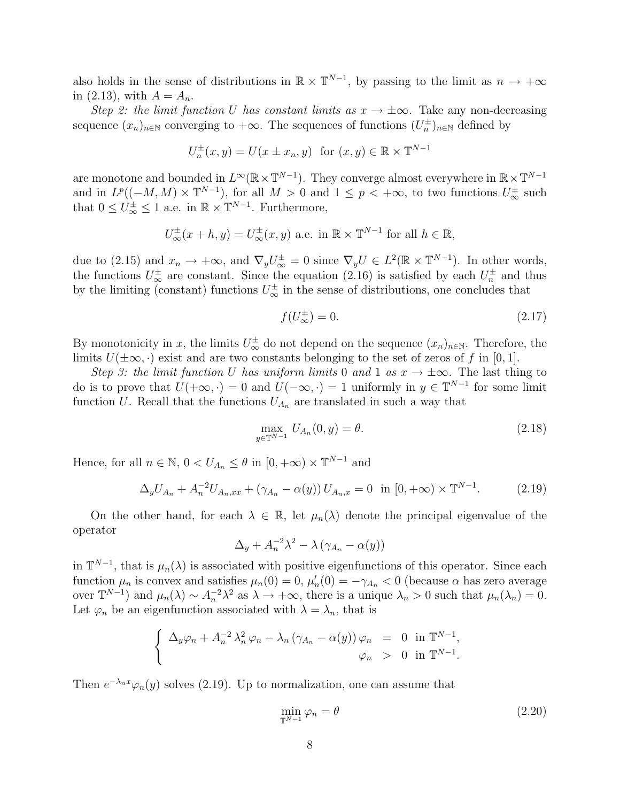also holds in the sense of distributions in  $\mathbb{R} \times \mathbb{T}^{N-1}$ , by passing to the limit as  $n \to +\infty$ in  $(2.13)$ , with  $A = A_n$ .

Step 2: the limit function U has constant limits as  $x \to \pm \infty$ . Take any non-decreasing sequence  $(x_n)_{n\in\mathbb{N}}$  converging to  $+\infty$ . The sequences of functions  $(U_n^{\pm})_{n\in\mathbb{N}}$  defined by

$$
U_n^{\pm}(x,y) = U(x \pm x_n, y) \text{ for } (x, y) \in \mathbb{R} \times \mathbb{T}^{N-1}
$$

are monotone and bounded in  $L^{\infty}(\mathbb{R} \times \mathbb{T}^{N-1})$ . They converge almost everywhere in  $\mathbb{R} \times \mathbb{T}^{N-1}$ and in  $L^p((-M, M) \times \mathbb{T}^{N-1})$ , for all  $M > 0$  and  $1 \leq p < +\infty$ , to two functions  $U^{\pm}_{\infty}$  such that  $0 \leq U_{\infty}^{\pm} \leq 1$  a.e. in  $\mathbb{R} \times \mathbb{T}^{N-1}$ . Furthermore,

$$
U_{\infty}^{\pm}(x+h,y) = U_{\infty}^{\pm}(x,y)
$$
 a.e. in  $\mathbb{R} \times \mathbb{T}^{N-1}$  for all  $h \in \mathbb{R}$ ,

due to (2.15) and  $x_n \to +\infty$ , and  $\nabla_y U^{\pm}_{\infty} = 0$  since  $\nabla_y U \in L^2(\mathbb{R} \times \mathbb{T}^{N-1})$ . In other words, the functions  $U^{\pm}_{\infty}$  are constant. Since the equation (2.16) is satisfied by each  $U^{\pm}_{n}$  and thus by the limiting (constant) functions  $U^{\pm}_{\infty}$  in the sense of distributions, one concludes that

$$
f(U_{\infty}^{\pm}) = 0. \tag{2.17}
$$

By monotonicity in x, the limits  $U^{\pm}_{\infty}$  do not depend on the sequence  $(x_n)_{n\in\mathbb{N}}$ . Therefore, the limits  $U(\pm\infty, \cdot)$  exist and are two constants belonging to the set of zeros of f in [0, 1].

Step 3: the limit function U has uniform limits 0 and 1 as  $x \to \pm \infty$ . The last thing to do is to prove that  $U(+\infty, \cdot) = 0$  and  $U(-\infty, \cdot) = 1$  uniformly in  $y \in \mathbb{T}^{N-1}$  for some limit function U. Recall that the functions  $U_{A_n}$  are translated in such a way that

$$
\max_{y \in \mathbb{T}^{N-1}} U_{A_n}(0, y) = \theta.
$$
\n(2.18)

Hence, for all  $n \in \mathbb{N}$ ,  $0 < U_{A_n} \leq \theta$  in  $[0, +\infty) \times \mathbb{T}^{N-1}$  and

$$
\Delta_y U_{A_n} + A_n^{-2} U_{A_n,xx} + (\gamma_{A_n} - \alpha(y)) U_{A_n,x} = 0 \text{ in } [0, +\infty) \times \mathbb{T}^{N-1}.
$$
 (2.19)

On the other hand, for each  $\lambda \in \mathbb{R}$ , let  $\mu_n(\lambda)$  denote the principal eigenvalue of the operator

$$
\Delta_y + A_n^{-2} \lambda^2 - \lambda (\gamma_{A_n} - \alpha(y))
$$

in  $\mathbb{T}^{N-1}$ , that is  $\mu_n(\lambda)$  is associated with positive eigenfunctions of this operator. Since each function  $\mu_n$  is convex and satisfies  $\mu_n(0) = 0$ ,  $\mu'_n(0) = -\gamma_{A_n} < 0$  (because  $\alpha$  has zero average over  $\mathbb{T}^{N-1}$  and  $\mu_n(\lambda) \sim A_n^{-2} \lambda^2$  as  $\lambda \to +\infty$ , there is a unique  $\lambda_n > 0$  such that  $\mu_n(\lambda_n) = 0$ . Let  $\varphi_n$  be an eigenfunction associated with  $\lambda = \lambda_n$ , that is

$$
\begin{cases}\n\Delta_y \varphi_n + A_n^{-2} \lambda_n^2 \varphi_n - \lambda_n (\gamma_{A_n} - \alpha(y)) \varphi_n = 0 \text{ in } \mathbb{T}^{N-1}, \\
\varphi_n > 0 \text{ in } \mathbb{T}^{N-1}.\n\end{cases}
$$

Then  $e^{-\lambda_n x}\varphi_n(y)$  solves (2.19). Up to normalization, one can assume that

$$
\min_{\mathbb{T}^{N-1}} \varphi_n = \theta \tag{2.20}
$$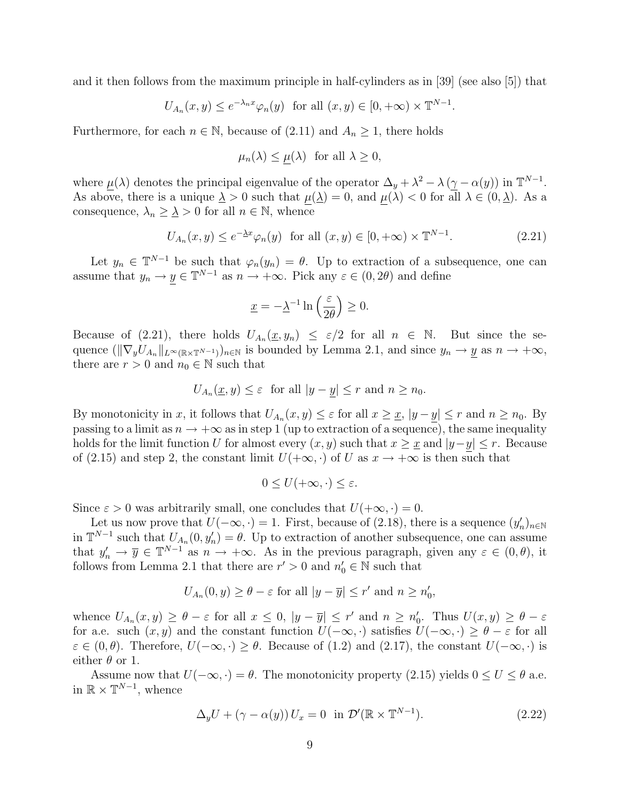and it then follows from the maximum principle in half-cylinders as in [39] (see also [5]) that

$$
U_{A_n}(x, y) \le e^{-\lambda_n x} \varphi_n(y) \text{ for all } (x, y) \in [0, +\infty) \times \mathbb{T}^{N-1}.
$$

Furthermore, for each  $n \in \mathbb{N}$ , because of (2.11) and  $A_n \geq 1$ , there holds

$$
\mu_n(\lambda) \le \mu(\lambda) \quad \text{for all } \lambda \ge 0,
$$

where  $\mu(\lambda)$  denotes the principal eigenvalue of the operator  $\Delta_y + \lambda^2 - \lambda (\gamma - \alpha(y))$  in  $\mathbb{T}^{N-1}$ . As above, there is a unique  $\lambda > 0$  such that  $\mu(\lambda) = 0$ , and  $\mu(\lambda) < 0$  for all  $\lambda \in (0, \lambda)$ . As a consequence,  $\lambda_n \geq \underline{\lambda} > 0$  for all  $n \in \mathbb{N}$ , whence

$$
U_{A_n}(x,y) \le e^{-\Delta x} \varphi_n(y) \quad \text{for all } (x,y) \in [0,+\infty) \times \mathbb{T}^{N-1}.
$$
 (2.21)

Let  $y_n \in \mathbb{T}^{N-1}$  be such that  $\varphi_n(y_n) = \theta$ . Up to extraction of a subsequence, one can assume that  $y_n \to y \in \mathbb{T}^{N-1}$  as  $n \to +\infty$ . Pick any  $\varepsilon \in (0, 2\theta)$  and define

$$
\underline{x} = -\underline{\lambda}^{-1} \ln \left( \frac{\varepsilon}{2\theta} \right) \ge 0.
$$

Because of (2.21), there holds  $U_{A_n}(\underline{x}, y_n) \leq \varepsilon/2$  for all  $n \in \mathbb{N}$ . But since the sequence  $(\|\nabla_y U_{A_n}\|_{L^\infty(\mathbb{R}\times\mathbb{T}^{N-1})})_{n\in\mathbb{N}}$  is bounded by Lemma 2.1, and since  $y_n \to y$  as  $n \to +\infty$ , there are  $r > 0$  and  $n_0 \in \mathbb{N}$  such that

$$
U_{A_n}(\underline{x}, y) \le \varepsilon \quad \text{for all } |y - y| \le r \text{ and } n \ge n_0.
$$

By monotonicity in x, it follows that  $U_{A_n}(x, y) \leq \varepsilon$  for all  $x \geq \underline{x}$ ,  $|y - y| \leq r$  and  $n \geq n_0$ . By passing to a limit as  $n \to +\infty$  as in step 1 (up to extraction of a sequence), the same inequality holds for the limit function U for almost every  $(x, y)$  such that  $x \geq \underline{x}$  and  $|y - y| \leq r$ . Because of (2.15) and step 2, the constant limit  $U(+\infty, \cdot)$  of U as  $x \to +\infty$  is then such that

$$
0 \le U(+\infty, \cdot) \le \varepsilon.
$$

Since  $\varepsilon > 0$  was arbitrarily small, one concludes that  $U(+\infty, \cdot) = 0$ .

Let us now prove that  $U(-\infty, \cdot) = 1$ . First, because of (2.18), there is a sequence  $(y'_n)_{n \in \mathbb{N}}$ in  $\mathbb{T}^{N-1}$  such that  $U_{A_n}(0, y'_n) = \theta$ . Up to extraction of another subsequence, one can assume that  $y'_n \to \overline{y} \in \mathbb{T}^{N-1}$  as  $n \to +\infty$ . As in the previous paragraph, given any  $\varepsilon \in (0,\theta)$ , it follows from Lemma 2.1 that there are  $r' > 0$  and  $n'_0 \in \mathbb{N}$  such that

$$
U_{A_n}(0, y) \ge \theta - \varepsilon
$$
 for all  $|y - \overline{y}| \le r'$  and  $n \ge n'_0$ ,

whence  $U_{A_n}(x,y) \geq \theta - \varepsilon$  for all  $x \leq 0$ ,  $|y - \overline{y}| \leq r'$  and  $n \geq n'_0$ . Thus  $U(x,y) \geq \theta - \varepsilon$ for a.e. such  $(x, y)$  and the constant function  $U(-\infty, \cdot)$  satisfies  $U(-\infty, \cdot) \geq \theta - \varepsilon$  for all  $\varepsilon \in (0, \theta)$ . Therefore,  $U(-\infty, \cdot) \geq \theta$ . Because of (1.2) and (2.17), the constant  $U(-\infty, \cdot)$  is either  $\theta$  or 1.

Assume now that  $U(-\infty, \cdot) = \theta$ . The monotonicity property (2.15) yields  $0 \le U \le \theta$  a.e. in  $\mathbb{R} \times \mathbb{T}^{N-1}$ , whence

$$
\Delta_y U + (\gamma - \alpha(y)) U_x = 0 \text{ in } \mathcal{D}'(\mathbb{R} \times \mathbb{T}^{N-1}).
$$
\n(2.22)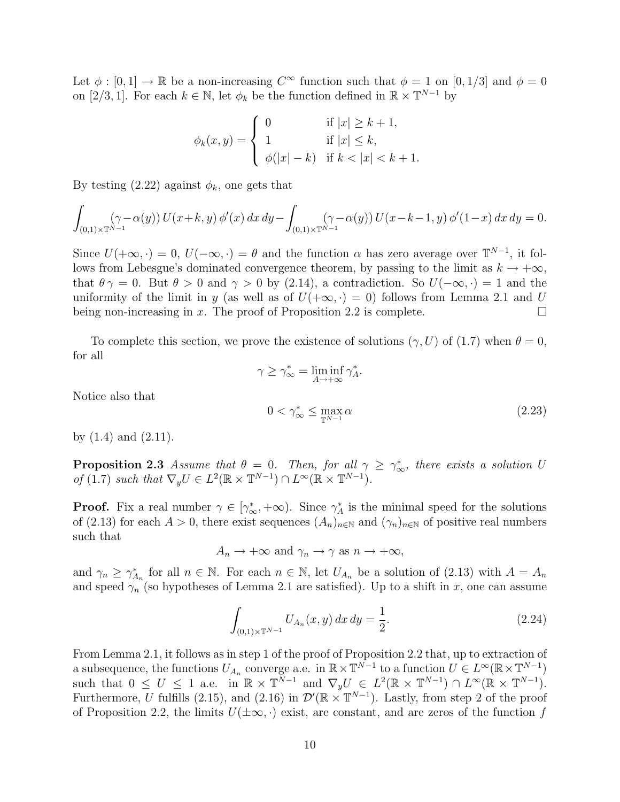Let  $\phi : [0,1] \to \mathbb{R}$  be a non-increasing  $C^{\infty}$  function such that  $\phi = 1$  on  $[0,1/3]$  and  $\phi = 0$ on [2/3, 1]. For each  $k \in \mathbb{N}$ , let  $\phi_k$  be the function defined in  $\mathbb{R} \times \mathbb{T}^{N-1}$  by

$$
\phi_k(x, y) = \begin{cases} 0 & \text{if } |x| \ge k + 1, \\ 1 & \text{if } |x| \le k, \\ \phi(|x| - k) & \text{if } k < |x| < k + 1. \end{cases}
$$

By testing  $(2.22)$  against  $\phi_k$ , one gets that

$$
\int_{(0,1)\times\mathbb{T}^{N-1}} (\gamma - \alpha(y)) U(x+k, y) \, \phi'(x) \, dx \, dy - \int_{(0,1)\times\mathbb{T}^{N-1}} (\gamma - \alpha(y)) U(x-k-1, y) \, \phi'(1-x) \, dx \, dy = 0.
$$

Since  $U(+\infty, \cdot) = 0$ ,  $U(-\infty, \cdot) = \theta$  and the function  $\alpha$  has zero average over  $\mathbb{T}^{N-1}$ , it follows from Lebesgue's dominated convergence theorem, by passing to the limit as  $k \to +\infty$ , that  $\theta \gamma = 0$ . But  $\theta > 0$  and  $\gamma > 0$  by (2.14), a contradiction. So  $U(-\infty, \cdot) = 1$  and the uniformity of the limit in y (as well as of  $U(+\infty, \cdot) = 0$ ) follows from Lemma 2.1 and U being non-increasing in x. The proof of Proposition 2.2 is complete.  $\Box$ 

To complete this section, we prove the existence of solutions  $(\gamma, U)$  of  $(1.7)$  when  $\theta = 0$ , for all

$$
\gamma \ge \gamma_{\infty}^* = \liminf_{A \to +\infty} \gamma_A^*.
$$
  

$$
0 < \gamma_{\infty}^* \le \max_{\mathbb{T}^{N-1}} \alpha
$$
 (2.23)

Notice also that

by  $(1.4)$  and  $(2.11)$ .

**Proposition 2.3** Assume that  $\theta = 0$ . Then, for all  $\gamma \geq \gamma_{\infty}^*$ , there exists a solution U of (1.7) such that  $\nabla_y U \in L^2(\mathbb{R} \times \mathbb{T}^{N-1}) \cap L^{\infty}(\mathbb{R} \times \mathbb{T}^{N-1}).$ 

**Proof.** Fix a real number  $\gamma \in [\gamma^*_{\infty}, +\infty)$ . Since  $\gamma^*_{A}$  is the minimal speed for the solutions of (2.13) for each  $A > 0$ , there exist sequences  $(A_n)_{n \in \mathbb{N}}$  and  $(\gamma_n)_{n \in \mathbb{N}}$  of positive real numbers such that

 $A_n \to +\infty$  and  $\gamma_n \to \gamma$  as  $n \to +\infty$ ,

and  $\gamma_n \geq \gamma_{A_n}^*$  for all  $n \in \mathbb{N}$ . For each  $n \in \mathbb{N}$ , let  $U_{A_n}$  be a solution of (2.13) with  $A = A_n$ and speed  $\gamma_n$  (so hypotheses of Lemma 2.1 are satisfied). Up to a shift in x, one can assume

$$
\int_{(0,1)\times\mathbb{T}^{N-1}} U_{A_n}(x,y) \, dx \, dy = \frac{1}{2}.\tag{2.24}
$$

From Lemma 2.1, it follows as in step 1 of the proof of Proposition 2.2 that, up to extraction of a subsequence, the functions  $U_{A_n}$  converge a.e. in  $\mathbb{R} \times \mathbb{T}^{N-1}$  to a function  $U \in L^{\infty}(\mathbb{R} \times \mathbb{T}^{N-1})$ such that  $0 \leq U \leq 1$  a.e. in  $\mathbb{R} \times \mathbb{T}^{N-1}$  and  $\nabla_y U \in L^2(\mathbb{R} \times \mathbb{T}^{N-1}) \cap L^{\infty}(\mathbb{R} \times \mathbb{T}^{N-1})$ . Furthermore, U fulfills (2.15), and (2.16) in  $\mathcal{D}'(\mathbb{R} \times \mathbb{T}^{N-1})$ . Lastly, from step 2 of the proof of Proposition 2.2, the limits  $U(\pm \infty, \cdot)$  exist, are constant, and are zeros of the function f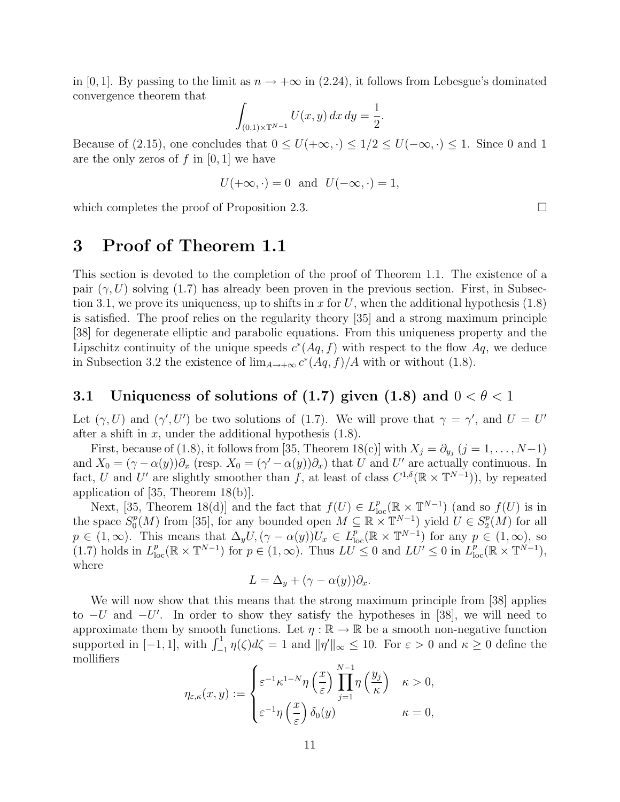in [0, 1]. By passing to the limit as  $n \to +\infty$  in (2.24), it follows from Lebesgue's dominated convergence theorem that

$$
\int_{(0,1)\times\mathbb{T}^{N-1}} U(x,y) \, dx \, dy = \frac{1}{2}.
$$

Because of (2.15), one concludes that  $0 \leq U(+\infty, \cdot) \leq 1/2 \leq U(-\infty, \cdot) \leq 1$ . Since 0 and 1 are the only zeros of  $f$  in [0, 1] we have

$$
U(+\infty, \cdot) = 0
$$
 and  $U(-\infty, \cdot) = 1$ ,

which completes the proof of Proposition 2.3.

# 3 Proof of Theorem 1.1

This section is devoted to the completion of the proof of Theorem 1.1. The existence of a pair  $(\gamma, U)$  solving (1.7) has already been proven in the previous section. First, in Subsection 3.1, we prove its uniqueness, up to shifts in x for U, when the additional hypothesis  $(1.8)$ is satisfied. The proof relies on the regularity theory [35] and a strong maximum principle [38] for degenerate elliptic and parabolic equations. From this uniqueness property and the Lipschitz continuity of the unique speeds  $c^*(Aq, f)$  with respect to the flow  $Aq$ , we deduce in Subsection 3.2 the existence of  $\lim_{A\to+\infty} c^*(Aq, f)/A$  with or without (1.8).

#### 3.1 Uniqueness of solutions of (1.7) given (1.8) and  $0 < \theta < 1$

Let  $(\gamma, U)$  and  $(\gamma', U')$  be two solutions of (1.7). We will prove that  $\gamma = \gamma'$ , and  $U = U'$ after a shift in  $x$ , under the additional hypothesis  $(1.8)$ .

First, because of (1.8), it follows from [35, Theorem 18(c)] with  $X_j = \partial_{y_j} (j = 1, \ldots, N-1)$ and  $X_0 = (\gamma - \alpha(y))\partial_x$  (resp.  $X_0 = (\gamma' - \alpha(y))\partial_x$ ) that U and U' are actually continuous. In fact, U and U' are slightly smoother than f, at least of class  $C^{1,\delta}(\mathbb{R} \times \mathbb{T}^{N-1})$ , by repeated application of [35, Theorem 18(b)].

Next, [35, Theorem 18(d)] and the fact that  $f(U) \in L^p_{loc}(\mathbb{R} \times \mathbb{T}^{N-1})$  (and so  $f(U)$  is in the space  $S_0^p$  $\mathbb{P}_0(N)$  from [35], for any bounded open  $M \subseteq \mathbb{R} \times \mathbb{T}^{N-1}$ ) yield  $U \in S_2^p$  $_2^p(M)$  for all  $p \in (1,\infty)$ . This means that  $\Delta_y U$ ,  $(\gamma - \alpha(y))U_x \in L^p_{loc}(\mathbb{R} \times \mathbb{T}^{N-1})$  for any  $p \in (1,\infty)$ , so (1.7) holds in  $L_{\text{loc}}^p(\mathbb{R} \times \mathbb{T}^{N-1})$  for  $p \in (1,\infty)$ . Thus  $LU^{\prime} \leq 0$  and  $LU^{\prime} \leq 0$  in  $L_{\text{loc}}^p(\mathbb{R} \times \mathbb{T}^{N-1})$ , where

$$
L = \Delta_y + (\gamma - \alpha(y))\partial_x.
$$

We will now show that this means that the strong maximum principle from [38] applies to  $-U$  and  $-U'$ . In order to show they satisfy the hypotheses in [38], we will need to approximate them by smooth functions. Let  $\eta : \mathbb{R} \to \mathbb{R}$  be a smooth non-negative function supported in  $[-1, 1]$ , with  $\int_{-1}^{1} \eta(\zeta) d\zeta = 1$  and  $\|\eta'\|_{\infty} \le 10$ . For  $\varepsilon > 0$  and  $\kappa \ge 0$  define the mollifiers

$$
\eta_{\varepsilon,\kappa}(x,y) := \begin{cases} \varepsilon^{-1} \kappa^{1-N} \eta\left(\frac{x}{\varepsilon}\right) \prod_{j=1}^{N-1} \eta\left(\frac{y_j}{\kappa}\right) & \kappa > 0, \\ \varepsilon^{-1} \eta\left(\frac{x}{\varepsilon}\right) \delta_0(y) & \kappa = 0, \end{cases}
$$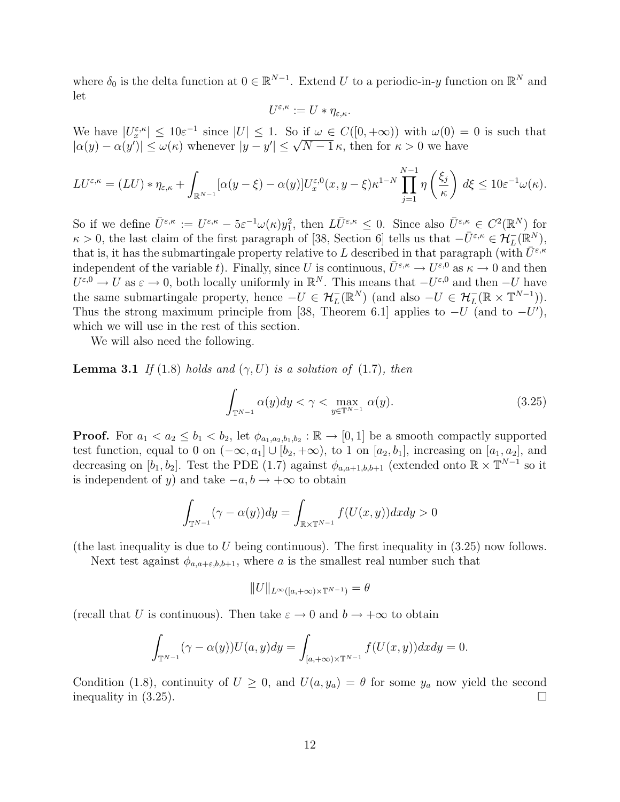where  $\delta_0$  is the delta function at  $0 \in \mathbb{R}^{N-1}$ . Extend U to a periodic-in-y function on  $\mathbb{R}^N$  and let

$$
U^{\varepsilon,\kappa} := U * \eta_{\varepsilon,\kappa}.
$$

We have  $|U_x^{\varepsilon,\kappa}| \leq 10\varepsilon^{-1}$  since  $|U| \leq 1$ . So if  $\omega \in C([0,+\infty))$  with  $\omega(0) = 0$  is such that We have  $|U_x^*| \leq 10\varepsilon$  since  $|U| \leq 1$ . So if  $\omega \in C([0, +\infty))$  with  $\omega(0) = |\alpha(y) - \alpha(y')| \leq \omega(\kappa)$  whenever  $|y - y'| \leq \sqrt{N-1} \kappa$ , then for  $\kappa > 0$  we have

$$
LU^{\varepsilon,\kappa} = (LU) * \eta_{\varepsilon,\kappa} + \int_{\mathbb{R}^{N-1}} [\alpha(y-\xi) - \alpha(y)] U^{\varepsilon,0}_x(x,y-\xi) \kappa^{1-N} \prod_{j=1}^{N-1} \eta\left(\frac{\xi_j}{\kappa}\right) d\xi \le 10 \varepsilon^{-1} \omega(\kappa).
$$

So if we define  $\bar{U}^{\varepsilon,\kappa} := U^{\varepsilon,\kappa} - 5\varepsilon^{-1}\omega(\kappa)y_1^2$ , then  $L\bar{U}^{\varepsilon,\kappa} \leq 0$ . Since also  $\bar{U}^{\varepsilon,\kappa} \in C^2(\mathbb{R}^N)$  for  $\kappa > 0$ , the last claim of the first paragraph of [38, Section 6] tells us that  $-\bar{U}^{\varepsilon,\kappa} \in \mathcal{H}_L^-(\mathbb{R}^N)$ , that is, it has the submartingale property relative to L described in that paragraph (with  $\bar{U}^{\varepsilon,\kappa}$ independent of the variable t). Finally, since U is continuous,  $\bar{U}^{\varepsilon,\kappa} \to U^{\varepsilon,0}$  as  $\kappa \to 0$  and then  $U^{\varepsilon,0}\to U$  as  $\varepsilon\to 0$ , both locally uniformly in  $\mathbb{R}^N$ . This means that  $-U^{\varepsilon,0}$  and then  $-U$  have the same submartingale property, hence  $-U \in H_L^-(\mathbb{R}^N)$  (and also  $-U \in H_L^-(\mathbb{R} \times \mathbb{T}^{N-1})$ ). Thus the strong maximum principle from [38, Theorem 6.1] applies to  $-U$  (and to  $-U'$ ), which we will use in the rest of this section.

We will also need the following.

**Lemma 3.1** If (1.8) holds and  $(\gamma, U)$  is a solution of (1.7), then

$$
\int_{\mathbb{T}^{N-1}} \alpha(y) dy < \gamma < \max_{y \in \mathbb{T}^{N-1}} \alpha(y). \tag{3.25}
$$

**Proof.** For  $a_1 < a_2 \le b_1 < b_2$ , let  $\phi_{a_1,a_2,b_1,b_2} : \mathbb{R} \to [0,1]$  be a smooth compactly supported test function, equal to 0 on  $(-\infty, a_1] \cup [b_2, +\infty)$ , to 1 on  $[a_2, b_1]$ , increasing on  $[a_1, a_2]$ , and decreasing on  $[b_1, b_2]$ . Test the PDE (1.7) against  $\phi_{a,a+1,b,b+1}$  (extended onto  $\mathbb{R} \times \mathbb{T}^{N-1}$  so it is independent of y) and take  $-a, b \rightarrow +\infty$  to obtain

$$
\int_{\mathbb{T}^{N-1}} (\gamma - \alpha(y)) dy = \int_{\mathbb{R} \times \mathbb{T}^{N-1}} f(U(x, y)) dx dy > 0
$$

(the last inequality is due to U being continuous). The first inequality in  $(3.25)$  now follows.

Next test against  $\phi_{a,a+\varepsilon,b,b+1}$ , where a is the smallest real number such that

$$
||U||_{L^{\infty}([a,+\infty)\times\mathbb{T}^{N-1})}=\theta
$$

(recall that U is continuous). Then take  $\varepsilon \to 0$  and  $b \to +\infty$  to obtain

$$
\int_{\mathbb{T}^{N-1}} (\gamma - \alpha(y)) U(a, y) dy = \int_{[a, +\infty) \times \mathbb{T}^{N-1}} f(U(x, y)) dx dy = 0.
$$

Condition (1.8), continuity of  $U \geq 0$ , and  $U(a, y_a) = \theta$  for some  $y_a$  now yield the second inequality in  $(3.25)$ .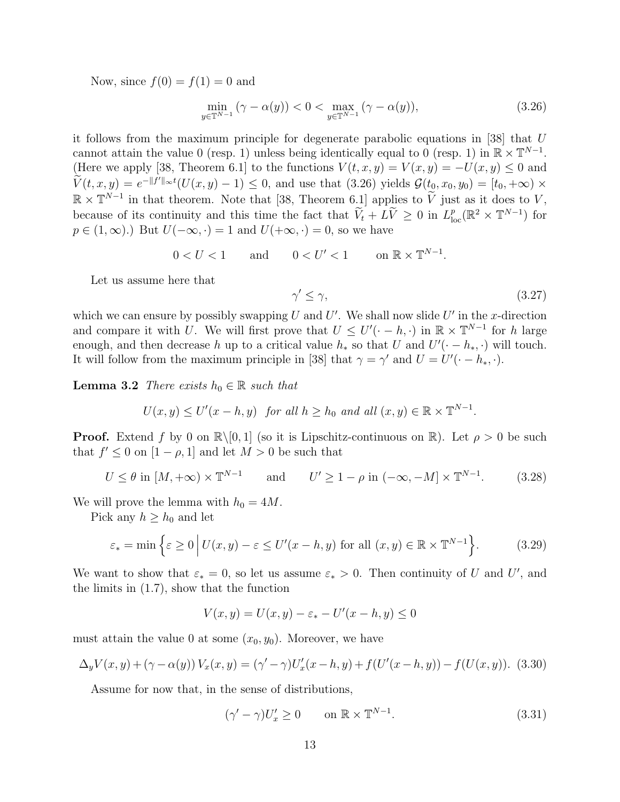Now, since  $f(0) = f(1) = 0$  and

$$
\min_{y \in \mathbb{T}^{N-1}} (\gamma - \alpha(y)) < 0 < \max_{y \in \mathbb{T}^{N-1}} (\gamma - \alpha(y)),\tag{3.26}
$$

it follows from the maximum principle for degenerate parabolic equations in [38] that U cannot attain the value 0 (resp. 1) unless being identically equal to 0 (resp. 1) in  $\mathbb{R} \times \mathbb{T}^{N-1}$ . (Here we apply [38, Theorem 6.1] to the functions  $V(t, x, y) = V(x, y) = -U(x, y) \leq 0$  and  $\widetilde{V}(t, x, y) = e^{-\|f'\|_{\infty}t}(U(x, y) - 1) \leq 0$ , and use that  $(3.26)$  yields  $\mathcal{G}(t_0, x_0, y_0) = [t_0, +\infty) \times$  $\mathbb{R} \times \mathbb{T}^{N-1}$  in that theorem. Note that [38, Theorem 6.1] applies to  $\widetilde{V}$  just as it does to  $V$ , because of its continuity and this time the fact that  $\widetilde{V}_t + L\widetilde{V} \geq 0$  in  $L^p_{loc}(\mathbb{R}^2 \times \mathbb{T}^{N-1})$  for  $p \in (1,\infty)$ .) But  $U(-\infty, \cdot) = 1$  and  $U(+\infty, \cdot) = 0$ , so we have

$$
0 < U < 1 \qquad \text{and} \qquad 0 < U' < 1 \qquad \text{on } \mathbb{R} \times \mathbb{T}^{N-1}.
$$

Let us assume here that

$$
\gamma' \le \gamma,\tag{3.27}
$$

which we can ensure by possibly swapping U and  $U'$ . We shall now slide  $U'$  in the x-direction and compare it with U. We will first prove that  $U \leq U'(-h, \cdot)$  in  $\mathbb{R} \times \mathbb{T}^{N-1}$  for h large enough, and then decrease h up to a critical value  $h_*$  so that U and  $U'(-h_*, \cdot)$  will touch. It will follow from the maximum principle in [38] that  $\gamma = \gamma'$  and  $U = U'(\cdot - h_*, \cdot)$ .

**Lemma 3.2** There exists  $h_0 \in \mathbb{R}$  such that

$$
U(x,y) \leq U'(x-h,y)
$$
 for all  $h \geq h_0$  and all  $(x,y) \in \mathbb{R} \times \mathbb{T}^{N-1}$ .

**Proof.** Extend f by 0 on  $\mathbb{R}\setminus[0,1]$  (so it is Lipschitz-continuous on  $\mathbb{R}$ ). Let  $\rho > 0$  be such that  $f' \leq 0$  on  $[1 - \rho, 1]$  and let  $M > 0$  be such that

$$
U \le \theta \text{ in } [M, +\infty) \times \mathbb{T}^{N-1} \qquad \text{and} \qquad U' \ge 1 - \rho \text{ in } (-\infty, -M] \times \mathbb{T}^{N-1}.
$$
 (3.28)

We will prove the lemma with  $h_0 = 4M$ .

Pick any  $h \geq h_0$  and let

$$
\varepsilon_* = \min\left\{\varepsilon \ge 0 \mid U(x, y) - \varepsilon \le U'(x - h, y) \text{ for all } (x, y) \in \mathbb{R} \times \mathbb{T}^{N-1}\right\}.
$$
 (3.29)

We want to show that  $\varepsilon_* = 0$ , so let us assume  $\varepsilon_* > 0$ . Then continuity of U and U', and the limits in (1.7), show that the function

$$
V(x, y) = U(x, y) - \varepsilon_* - U'(x - h, y) \le 0
$$

must attain the value 0 at some  $(x_0, y_0)$ . Moreover, we have

$$
\Delta_y V(x, y) + (\gamma - \alpha(y)) V_x(x, y) = (\gamma' - \gamma) U'_x(x - h, y) + f(U'(x - h, y)) - f(U(x, y)).
$$
 (3.30)

Assume for now that, in the sense of distributions,

$$
(\gamma' - \gamma)U_x' \ge 0 \qquad \text{on } \mathbb{R} \times \mathbb{T}^{N-1}.
$$
 (3.31)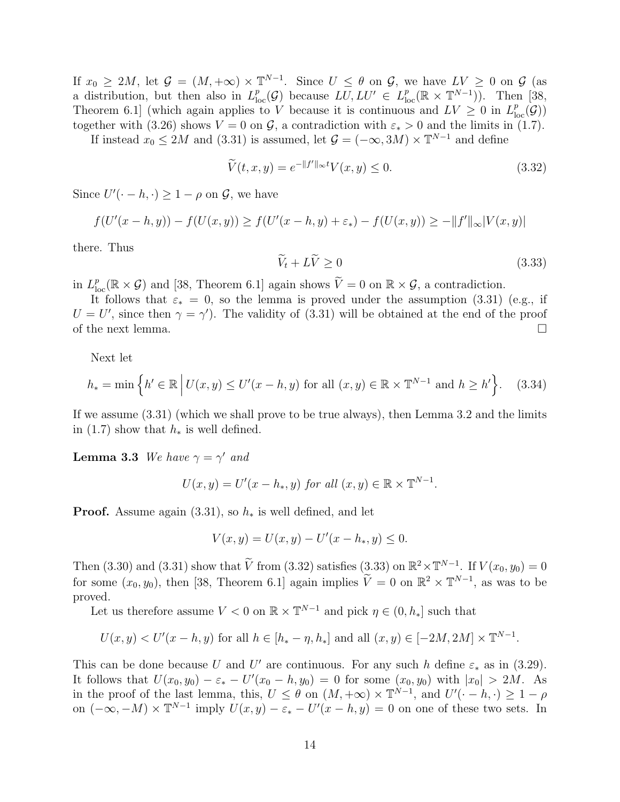If  $x_0 \ge 2M$ , let  $\mathcal{G} = (M, +\infty) \times \mathbb{T}^{N-1}$ . Since  $U \le \theta$  on  $\mathcal{G}$ , we have  $LV \ge 0$  on  $\mathcal{G}$  (as a distribution, but then also in  $L_{\text{loc}}^p(\mathcal{G})$  because  $LU, LU' \in L_{\text{loc}}^p(\mathbb{R} \times \mathbb{T}^{N-1})$ . Then [38, Theorem 6.1 (which again applies to V because it is continuous and  $LV \geq 0$  in  $L^p_{loc}(\mathcal{G})$ ) together with (3.26) shows  $V = 0$  on  $\mathcal{G}$ , a contradiction with  $\varepsilon_* > 0$  and the limits in (1.7).

If instead  $x_0 \le 2M$  and (3.31) is assumed, let  $\mathcal{G} = (-\infty, 3M) \times \mathbb{T}^{N-1}$  and define

$$
\widetilde{V}(t,x,y) = e^{-\|f'\|_{\infty}t} V(x,y) \le 0.
$$
\n(3.32)

Since  $U'(-h, \cdot) \geq 1 - \rho$  on  $\mathcal{G}$ , we have

$$
f(U'(x - h, y)) - f(U(x, y)) \ge f(U'(x - h, y) + \varepsilon_*) - f(U(x, y)) \ge -\|f'\|_{\infty}|V(x, y)|
$$

there. Thus

$$
\widetilde{V}_t + L\widetilde{V} \ge 0\tag{3.33}
$$

in  $L^p_{\text{loc}}(\mathbb{R} \times \mathcal{G})$  and [38, Theorem 6.1] again shows  $\widetilde{V} = 0$  on  $\mathbb{R} \times \mathcal{G}$ , a contradiction.

It follows that  $\varepsilon_* = 0$ , so the lemma is proved under the assumption (3.31) (e.g., if  $U = U'$ , since then  $\gamma = \gamma'$ ). The validity of (3.31) will be obtained at the end of the proof of the next lemma.  $\Box$ 

Next let

$$
h_* = \min\left\{h' \in \mathbb{R} \, \Big| \, U(x, y) \le U'(x - h, y) \text{ for all } (x, y) \in \mathbb{R} \times \mathbb{T}^{N-1} \text{ and } h \ge h'\right\}.
$$
 (3.34)

If we assume (3.31) (which we shall prove to be true always), then Lemma 3.2 and the limits in (1.7) show that  $h_*$  is well defined.

**Lemma 3.3** We have  $\gamma = \gamma'$  and

$$
U(x,y) = U'(x - h_*, y) \text{ for all } (x, y) \in \mathbb{R} \times \mathbb{T}^{N-1}.
$$

**Proof.** Assume again  $(3.31)$ , so  $h_*$  is well defined, and let

$$
V(x, y) = U(x, y) - U'(x - h_*, y) \le 0.
$$

Then (3.30) and (3.31) show that  $\widetilde{V}$  from (3.32) satisfies (3.33) on  $\mathbb{R}^2 \times \mathbb{T}^{N-1}$ . If  $V(x_0, y_0) = 0$ for some  $(x_0, y_0)$ , then [38, Theorem 6.1] again implies  $\tilde{V} = 0$  on  $\mathbb{R}^2 \times \mathbb{T}^{N-1}$ , as was to be proved.

Let us therefore assume  $V < 0$  on  $\mathbb{R} \times \mathbb{T}^{N-1}$  and pick  $\eta \in (0, h_*]$  such that

$$
U(x, y) < U'(x - h, y)
$$
 for all  $h \in [h_* - \eta, h_*]$  and all  $(x, y) \in [-2M, 2M] \times \mathbb{T}^{N-1}$ .

This can be done because U and U' are continuous. For any such h define  $\varepsilon_*$  as in (3.29). It follows that  $U(x_0, y_0) - \varepsilon_* - U'(x_0 - h, y_0) = 0$  for some  $(x_0, y_0)$  with  $|x_0| > 2M$ . As in the proof of the last lemma, this,  $U \leq \theta$  on  $(M, +\infty) \times \mathbb{T}^{N-1}$ , and  $U'(-h, \cdot) \geq 1 - \rho$ on  $(-\infty, -M) \times \mathbb{T}^{N-1}$  imply  $U(x, y) - \varepsilon_* - U'(x-h, y) = 0$  on one of these two sets. In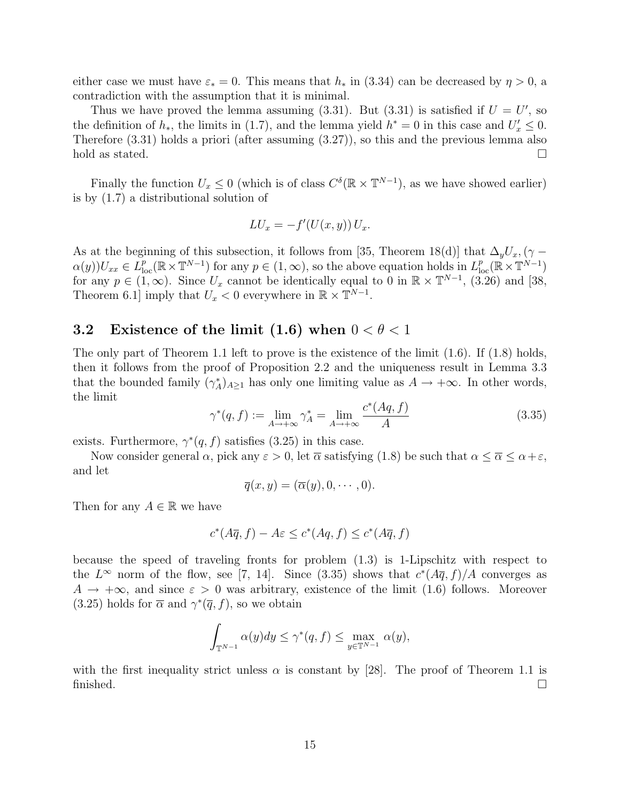either case we must have  $\varepsilon_* = 0$ . This means that  $h_*$  in (3.34) can be decreased by  $\eta > 0$ , a contradiction with the assumption that it is minimal.

Thus we have proved the lemma assuming  $(3.31)$ . But  $(3.31)$  is satisfied if  $U = U'$ , so the definition of  $h_*$ , the limits in (1.7), and the lemma yield  $h^* = 0$  in this case and  $U'_x \leq 0$ . Therefore (3.31) holds a priori (after assuming (3.27)), so this and the previous lemma also hold as stated.

Finally the function  $U_x \leq 0$  (which is of class  $C^{\delta}(\mathbb{R} \times \mathbb{T}^{N-1})$ , as we have showed earlier) is by (1.7) a distributional solution of

$$
LU_x = -f'(U(x, y)) U_x.
$$

As at the beginning of this subsection, it follows from [35, Theorem 18(d)] that  $\Delta_y U_x$ , ( $\gamma$  –  $\alpha(y)U_{xx} \in L^p_{loc}(\mathbb{R} \times \mathbb{T}^{N-1})$  for any  $p \in (1,\infty)$ , so the above equation holds in  $L^p_{loc}(\mathbb{R} \times \mathbb{T}^{N-1})$ for any  $p \in (1,\infty)$ . Since  $U_x$  cannot be identically equal to 0 in  $\mathbb{R} \times \mathbb{T}^{N-1}$ , (3.26) and [38, Theorem 6.1] imply that  $U_x < 0$  everywhere in  $\mathbb{R} \times \mathbb{T}^{N-1}$ .

### 3.2 Existence of the limit (1.6) when  $0 < \theta < 1$

The only part of Theorem 1.1 left to prove is the existence of the limit (1.6). If (1.8) holds, then it follows from the proof of Proposition 2.2 and the uniqueness result in Lemma 3.3 that the bounded family  $(\gamma_A^*)_{A\geq 1}$  has only one limiting value as  $A \to +\infty$ . In other words, the limit

$$
\gamma^*(q, f) := \lim_{A \to +\infty} \gamma_A^* = \lim_{A \to +\infty} \frac{c^*(Aq, f)}{A} \tag{3.35}
$$

exists. Furthermore,  $\gamma^*(q, f)$  satisfies (3.25) in this case.

Now consider general  $\alpha$ , pick any  $\varepsilon > 0$ , let  $\overline{\alpha}$  satisfying (1.8) be such that  $\alpha \leq \overline{\alpha} \leq \alpha + \varepsilon$ , and let

$$
\overline{q}(x,y)=(\overline{\alpha}(y),0,\cdots,0).
$$

Then for any  $A \in \mathbb{R}$  we have

$$
c^*(A\overline{q}, f) - A\varepsilon \le c^*(Aq, f) \le c^*(A\overline{q}, f)
$$

because the speed of traveling fronts for problem (1.3) is 1-Lipschitz with respect to the  $L^{\infty}$  norm of the flow, see [7, 14]. Since (3.35) shows that  $c^{*}(A\overline{q}, f)/A$  converges as  $A \rightarrow +\infty$ , and since  $\varepsilon > 0$  was arbitrary, existence of the limit (1.6) follows. Moreover (3.25) holds for  $\bar{\alpha}$  and  $\gamma^*(\bar{q}, f)$ , so we obtain

$$
\int_{\mathbb{T}^{N-1}} \alpha(y) dy \le \gamma^*(q, f) \le \max_{y \in \mathbb{T}^{N-1}} \alpha(y),
$$

with the first inequality strict unless  $\alpha$  is constant by [28]. The proof of Theorem 1.1 is finished.  $\square$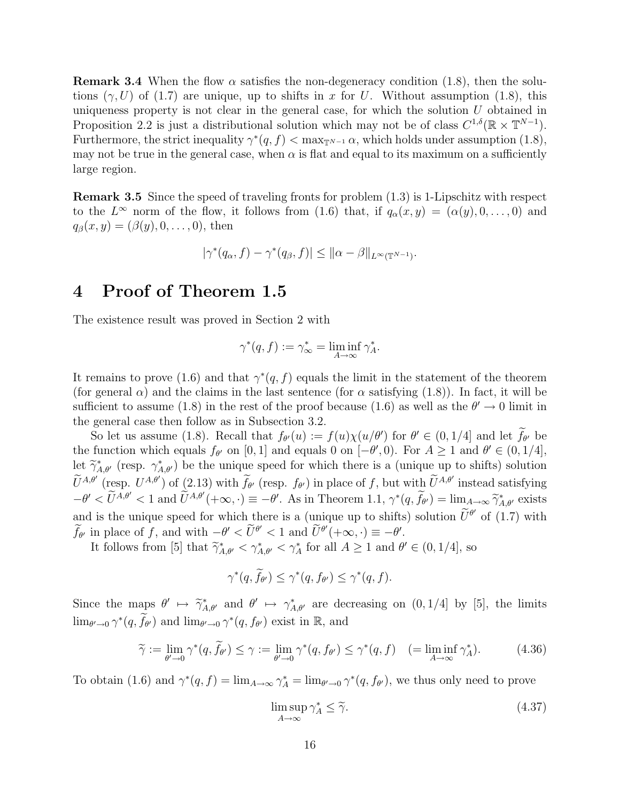**Remark 3.4** When the flow  $\alpha$  satisfies the non-degeneracy condition (1.8), then the solutions  $(\gamma, U)$  of (1.7) are unique, up to shifts in x for U. Without assumption (1.8), this uniqueness property is not clear in the general case, for which the solution  $U$  obtained in Proposition 2.2 is just a distributional solution which may not be of class  $C^{1,\delta}(\mathbb{R} \times \mathbb{T}^{N-1})$ . Furthermore, the strict inequality  $\gamma^*(q, f) < \max_{\mathbb{T}^{N-1}} \alpha$ , which holds under assumption (1.8), may not be true in the general case, when  $\alpha$  is flat and equal to its maximum on a sufficiently large region.

Remark 3.5 Since the speed of traveling fronts for problem (1.3) is 1-Lipschitz with respect to the  $L^{\infty}$  norm of the flow, it follows from (1.6) that, if  $q_{\alpha}(x, y) = (\alpha(y), 0, \ldots, 0)$  and  $q_{\beta}(x, y) = (\beta(y), 0, \ldots, 0),$  then

$$
|\gamma^*(q_\alpha, f) - \gamma^*(q_\beta, f)| \leq ||\alpha - \beta||_{L^\infty(\mathbb{T}^{N-1})}.
$$

## 4 Proof of Theorem 1.5

The existence result was proved in Section 2 with

$$
\gamma^*(q, f) := \gamma^*_{\infty} = \liminf_{A \to \infty} \gamma^*_A.
$$

It remains to prove (1.6) and that  $\gamma^*(q, f)$  equals the limit in the statement of the theorem (for general  $\alpha$ ) and the claims in the last sentence (for  $\alpha$  satisfying (1.8)). In fact, it will be sufficient to assume (1.8) in the rest of the proof because (1.6) as well as the  $\theta' \to 0$  limit in the general case then follow as in Subsection 3.2.

So let us assume (1.8). Recall that  $f_{\theta}(u) := f(u)\chi(u/\theta')$  for  $\theta' \in (0, 1/4]$  and let  $\tilde{f}_{\theta'}$  be the function which equals  $f_{\theta'}$  on [0, 1] and equals 0 on  $[-\theta', 0)$ . For  $A \ge 1$  and  $\theta' \in (0, 1/4]$ , let  $\widetilde{\gamma}_{A,\theta'}^*$  (resp.  $\gamma_{A,\theta'}^*$ ) be the unique speed for which there is a (unique up to shifts) solution  $\widetilde{U}^{A,\theta'}$  (resp.  $U^{A,\theta'}$ ) of (2.13) with  $\widetilde{f}_{\theta'}$  (resp.  $f_{\theta'}$ ) in place of f, but with  $\widetilde{U}^{A,\theta'}$  instead satisfying  $-\theta' < \tilde{U}^{A,\theta'} < 1$  and  $\tilde{U}^{A,\theta'}(+\infty, \cdot) \equiv -\theta'$ . As in Theorem 1.1,  $\gamma^*(q, \tilde{f}_{\theta'}) = \lim_{A \to \infty} \tilde{\gamma}^*_{A,\theta'}$  exists and is the unique speed for which there is a (unique up to shifts) solution  $\tilde{U}^{\theta'}$  of (1.7) with  $\widetilde{f}_{\theta'}$  in place of f, and with  $-\theta' < \widetilde{U}^{\theta'} < 1$  and  $\widetilde{U}^{\theta'}(+\infty, \cdot) \equiv -\theta'$ .

It follows from [5] that  $\tilde{\gamma}_{A,\theta'}^* < \gamma_{A,\theta'}^* < \gamma_A^*$  for all  $A \ge 1$  and  $\theta' \in (0,1/4]$ , so

$$
\gamma^*(q, \tilde{f}_{\theta'}) \le \gamma^*(q, f_{\theta'}) \le \gamma^*(q, f).
$$

Since the maps  $\theta' \mapsto \tilde{\gamma}_{A,\theta'}^*$  and  $\theta' \mapsto \gamma_{A,\theta'}^*$  are decreasing on  $(0, 1/4]$  by [5], the limits  $\lim_{\theta'\to 0} \gamma^*(q, \tilde{f}_{\theta'})$  and  $\lim_{\theta'\to 0} \gamma^*(q, f_{\theta'})$  exist in  $\mathbb{R}$ , and

$$
\widetilde{\gamma} := \lim_{\theta' \to 0} \gamma^*(q, \widetilde{f}_{\theta'}) \le \gamma := \lim_{\theta' \to 0} \gamma^*(q, f_{\theta'}) \le \gamma^*(q, f) \quad (= \liminf_{A \to \infty} \gamma_A^*). \tag{4.36}
$$

To obtain (1.6) and  $\gamma^*(q, f) = \lim_{A \to \infty} \gamma_A^* = \lim_{\theta' \to 0} \gamma^*(q, f_{\theta'})$ , we thus only need to prove

$$
\limsup_{A \to \infty} \gamma_A^* \le \tilde{\gamma}.\tag{4.37}
$$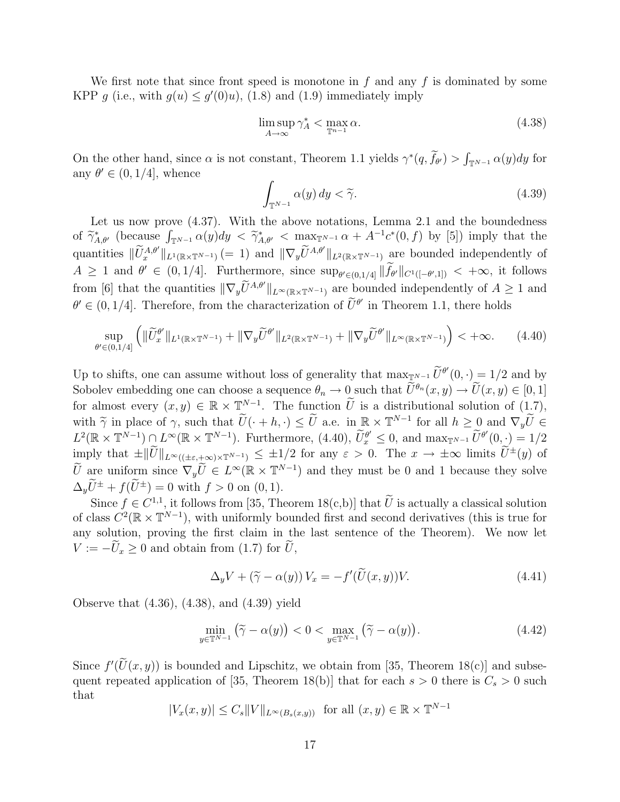We first note that since front speed is monotone in  $f$  and any  $f$  is dominated by some KPP g (i.e., with  $g(u) \leq g'(0)u$ ), (1.8) and (1.9) immediately imply

$$
\limsup_{A \to \infty} \gamma_A^* < \max_{\mathbb{T}^{n-1}} \alpha. \tag{4.38}
$$

On the other hand, since  $\alpha$  is not constant, Theorem 1.1 yields  $\gamma^*(q, \tilde{f}_{\theta'}) > \int_{\mathbb{T}^{N-1}} \alpha(y) dy$  for any  $\theta' \in (0, 1/4]$ , whence

$$
\int_{\mathbb{T}^{N-1}} \alpha(y) \, dy < \widetilde{\gamma}.\tag{4.39}
$$

Let us now prove  $(4.37)$ . With the above notations, Lemma 2.1 and the boundedness of  $\widetilde{\gamma}_{A,\theta}^*$  (because  $\int_{\mathbb{T}^{N-1}} \alpha(y) dy < \widetilde{\gamma}_{A,\theta'}^* < \max_{\mathbb{T}^{N-1}} \alpha + A^{-1}c^*(0, f)$  by [5]) imply that the quantities  $\|\widetilde{U}_x^{A,\theta'}\|_{L^1(\mathbb{R}\times\mathbb{T}^{N-1})}$  (= 1) and  $\|\nabla_y \widetilde{U}^{A,\theta'}\|_{L^2(\mathbb{R}\times\mathbb{T}^{N-1})}$  are bounded independently of  $A \geq 1$  and  $\theta' \in (0, 1/4]$ . Furthermore, since  $\sup_{\theta' \in (0, 1/4]} \|\tilde{f}_{\theta'}\|_{C^1([-\theta',1])} < +\infty$ , it follows from [6] that the quantities  $\|\nabla_y \tilde{U}^{A,\theta}\|_{L^\infty(\mathbb{R}\times\mathbb{T}^{N-1})}$  are bounded independently of  $A \geq 1$  and  $\theta' \in (0, 1/4]$ . Therefore, from the characterization of  $\tilde{U}^{\theta'}$  in Theorem 1.1, there holds

$$
\sup_{\theta' \in (0,1/4]} \left( \|\widetilde{U}^{\theta'}_x\|_{L^1(\mathbb{R} \times \mathbb{T}^{N-1})} + \|\nabla_y \widetilde{U}^{\theta'}\|_{L^2(\mathbb{R} \times \mathbb{T}^{N-1})} + \|\nabla_y \widetilde{U}^{\theta'}\|_{L^\infty(\mathbb{R} \times \mathbb{T}^{N-1})} \right) < +\infty. \tag{4.40}
$$

Up to shifts, one can assume without loss of generality that  $\max_{\mathbb{T}^{N-1}} \widetilde{U}^{\theta'}(0, \cdot) = 1/2$  and by Sobolev embedding one can choose a sequence  $\theta_n \to 0$  such that  $\widetilde{U}^{\theta_n}(x, y) \to \widetilde{U}(x, y) \in [0, 1]$ for almost every  $(x, y) \in \mathbb{R} \times \mathbb{T}^{N-1}$ . The function  $\widetilde{U}$  is a distributional solution of  $(1.7)$ , with  $\widetilde{\gamma}$  in place of  $\gamma$ , such that  $\widetilde{U}(\cdot + h, \cdot) \leq \widetilde{U}$  a.e. in  $\mathbb{R} \times \mathbb{T}^{N-1}$  for all  $h \geq 0$  and  $\nabla_y \widetilde{U} \in L^2(\mathbb{R} \times \mathbb{T}^{N-1}) \cap L^{\infty}(\mathbb{R} \times \mathbb{T}^{N-1})$ . Furthermore,  $(4.40)$ ,  $\widetilde{U}^{\theta'} \$  $L^2(\mathbb{R} \times \mathbb{T}^{N-1}) \cap L^{\infty}(\mathbb{R} \times \mathbb{T}^{N-1})$ . Furthermore, (4.40),  $\widetilde{U}_x^{\theta'} \leq 0$ , and  $\max_{\mathbb{T}^{N-1}} \widetilde{U}^{\theta'}(0, \cdot) = 1/2$ imply that  $\pm \|\widetilde{U}\|_{L^{\infty}((\pm \varepsilon, +\infty) \times \mathbb{T}^{N-1})} \leq \pm 1/2$  for any  $\varepsilon > 0$ . The  $x \to \pm \infty$  limits  $\widetilde{U}^{\pm}(y)$  of  $\widetilde{U}$  are uniform since  $\nabla_y \widetilde{U} \in L^{\infty}(\mathbb{R} \times \mathbb{T}^{N-1})$  and they must be 0 and 1 because they solve  $\Delta_y \widetilde{U}^{\pm} + f(\widetilde{U}^{\pm}) = 0$  with  $f > 0$  on  $(0, 1)$ .

Since  $f \in C^{1,1}$ , it follows from [35, Theorem 18(c,b)] that U is actually a classical solution of class  $C^2(\mathbb{R} \times \mathbb{T}^{N-1})$ , with uniformly bounded first and second derivatives (this is true for any solution, proving the first claim in the last sentence of the Theorem). We now let  $V := -\widetilde{U}_x \geq 0$  and obtain from (1.7) for  $\widetilde{U}$ ,

$$
\Delta_y V + (\tilde{\gamma} - \alpha(y)) V_x = -f'(\tilde{U}(x, y))V.
$$
\n(4.41)

Observe that (4.36), (4.38), and (4.39) yield

$$
\min_{y \in \mathbb{T}^{N-1}} (\tilde{\gamma} - \alpha(y)) < 0 < \max_{y \in \mathbb{T}^{N-1}} (\tilde{\gamma} - \alpha(y)). \tag{4.42}
$$

Since  $f'(\tilde{U}(x, y))$  is bounded and Lipschitz, we obtain from [35, Theorem 18(c)] and subsequent repeated application of [35, Theorem 18(b)] that for each  $s > 0$  there is  $C_s > 0$  such that

$$
|V_x(x,y)| \leq C_s ||V||_{L^{\infty}(B_s(x,y))} \text{ for all } (x,y) \in \mathbb{R} \times \mathbb{T}^{N-1}
$$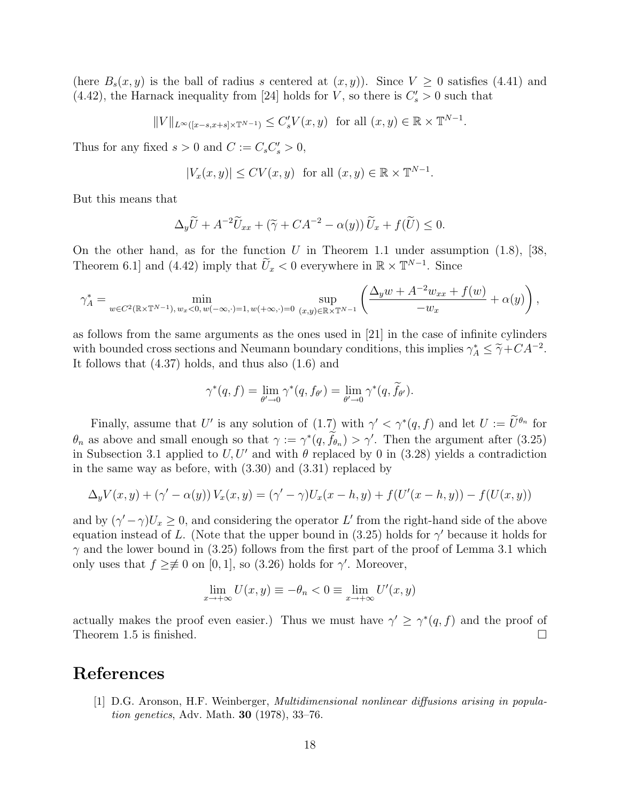(here  $B_s(x, y)$  is the ball of radius s centered at  $(x, y)$ ). Since  $V \geq 0$  satisfies (4.41) and (4.42), the Harnack inequality from [24] holds for V, so there is  $C_s' > 0$  such that

$$
||V||_{L^{\infty}([x-s,x+s]\times\mathbb{T}^{N-1})} \leq C'_{s}V(x,y) \text{ for all } (x,y)\in\mathbb{R}\times\mathbb{T}^{N-1}
$$

.

Thus for any fixed  $s > 0$  and  $C := C_s C'_s > 0$ ,

$$
|V_x(x,y)| \le CV(x,y) \text{ for all } (x,y) \in \mathbb{R} \times \mathbb{T}^{N-1}.
$$

But this means that

$$
\Delta_y \widetilde{U} + A^{-2} \widetilde{U}_{xx} + (\widetilde{\gamma} + CA^{-2} - \alpha(y)) \widetilde{U}_x + f(\widetilde{U}) \le 0.
$$

On the other hand, as for the function U in Theorem 1.1 under assumption  $(1.8)$ , [38, Theorem 6.1] and (4.42) imply that  $\tilde{U}_x < 0$  everywhere in  $\mathbb{R} \times \mathbb{T}^{N-1}$ . Since

$$
\gamma_A^*=\min_{w\in C^2(\mathbb{R}\times\mathbb{T}^{N-1}),\,w_x<0,\,w(-\infty,\cdot)=1,\,w(+\infty,\cdot)=0}\,\sup_{(x,y)\in\mathbb{R}\times\mathbb{T}^{N-1}}\left(\frac{\Delta_yw+A^{-2}w_{xx}+f(w)}{-w_x}+\alpha(y)\right),
$$

as follows from the same arguments as the ones used in [21] in the case of infinite cylinders with bounded cross sections and Neumann boundary conditions, this implies  $\gamma_A^* \leq \tilde{\gamma} + CA^{-2}$ .<br>It follows that (4.37) holds, and thus also (1.6) and It follows that (4.37) holds, and thus also (1.6) and

$$
\gamma^*(q, f) = \lim_{\theta' \to 0} \gamma^*(q, f_{\theta'}) = \lim_{\theta' \to 0} \gamma^*(q, \widetilde{f}_{\theta'}).
$$

Finally, assume that U' is any solution of  $(1.7)$  with  $\gamma' < \gamma^*(q, f)$  and let  $U := \tilde{U}^{\theta_n}$  for  $\theta_n$  as above and small enough so that  $\gamma := \gamma^*(q, \tilde{f}_{\theta_n}) > \gamma'$ . Then the argument after (3.25) in Subsection 3.1 applied to  $U, U'$  and with  $\theta$  replaced by 0 in (3.28) yields a contradiction in the same way as before, with (3.30) and (3.31) replaced by

$$
\Delta_y V(x, y) + (\gamma' - \alpha(y)) V_x(x, y) = (\gamma' - \gamma) U_x(x - h, y) + f(U'(x - h, y)) - f(U(x, y))
$$

and by  $(\gamma' - \gamma)U_x \geq 0$ , and considering the operator L' from the right-hand side of the above equation instead of L. (Note that the upper bound in (3.25) holds for  $\gamma'$  because it holds for  $\gamma$  and the lower bound in (3.25) follows from the first part of the proof of Lemma 3.1 which only uses that  $f \geq \neq 0$  on [0, 1], so (3.26) holds for  $\gamma'$ . Moreover,

$$
\lim_{x \to +\infty} U(x, y) \equiv -\theta_n < 0 \equiv \lim_{x \to +\infty} U'(x, y)
$$

actually makes the proof even easier.) Thus we must have  $\gamma' \geq \gamma^*(q, f)$  and the proof of Theorem 1.5 is finished.  $\square$ 

### References

[1] D.G. Aronson, H.F. Weinberger, Multidimensional nonlinear diffusions arising in population genetics, Adv. Math. 30 (1978), 33–76.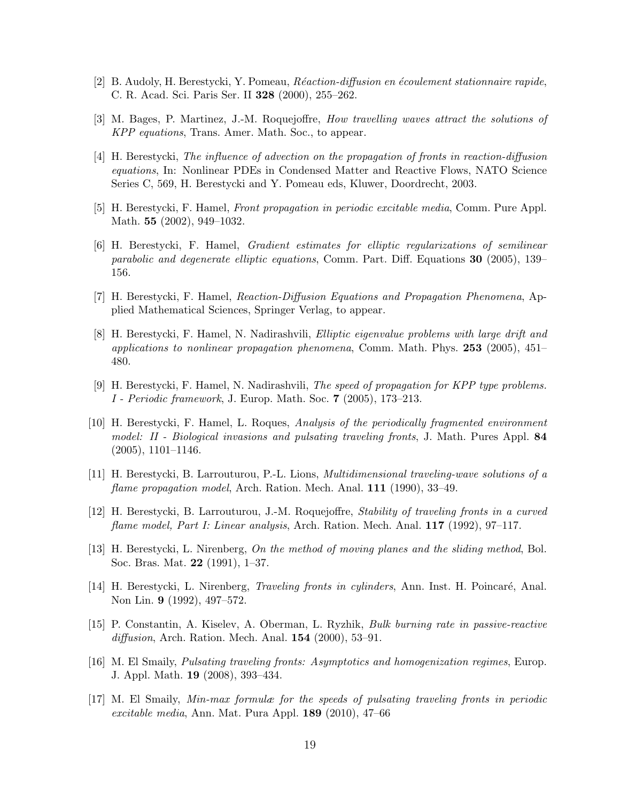- [2] B. Audoly, H. Berestycki, Y. Pomeau, Réaction-diffusion en écoulement stationnaire rapide, C. R. Acad. Sci. Paris Ser. II 328 (2000), 255–262.
- [3] M. Bages, P. Martinez, J.-M. Roquejoffre, How travelling waves attract the solutions of KPP equations, Trans. Amer. Math. Soc., to appear.
- [4] H. Berestycki, The influence of advection on the propagation of fronts in reaction-diffusion equations, In: Nonlinear PDEs in Condensed Matter and Reactive Flows, NATO Science Series C, 569, H. Berestycki and Y. Pomeau eds, Kluwer, Doordrecht, 2003.
- [5] H. Berestycki, F. Hamel, Front propagation in periodic excitable media, Comm. Pure Appl. Math. 55 (2002), 949–1032.
- [6] H. Berestycki, F. Hamel, Gradient estimates for elliptic regularizations of semilinear parabolic and degenerate elliptic equations, Comm. Part. Diff. Equations 30 (2005), 139– 156.
- [7] H. Berestycki, F. Hamel, Reaction-Diffusion Equations and Propagation Phenomena, Applied Mathematical Sciences, Springer Verlag, to appear.
- [8] H. Berestycki, F. Hamel, N. Nadirashvili, Elliptic eigenvalue problems with large drift and applications to nonlinear propagation phenomena, Comm. Math. Phys.  $253$  (2005), 451– 480.
- [9] H. Berestycki, F. Hamel, N. Nadirashvili, The speed of propagation for KPP type problems. I - Periodic framework, J. Europ. Math. Soc. 7 (2005), 173–213.
- [10] H. Berestycki, F. Hamel, L. Roques, Analysis of the periodically fragmented environment model: II - Biological invasions and pulsating traveling fronts, J. Math. Pures Appl. 84  $(2005), 1101-1146.$
- [11] H. Berestycki, B. Larrouturou, P.-L. Lions, Multidimensional traveling-wave solutions of a flame propagation model, Arch. Ration. Mech. Anal. 111 (1990), 33–49.
- [12] H. Berestycki, B. Larrouturou, J.-M. Roquejoffre, Stability of traveling fronts in a curved flame model, Part I: Linear analysis, Arch. Ration. Mech. Anal. 117 (1992), 97–117.
- [13] H. Berestycki, L. Nirenberg, On the method of moving planes and the sliding method, Bol. Soc. Bras. Mat. 22 (1991), 1–37.
- [14] H. Berestycki, L. Nirenberg, *Traveling fronts in cylinders*, Ann. Inst. H. Poincaré, Anal. Non Lin. 9 (1992), 497–572.
- [15] P. Constantin, A. Kiselev, A. Oberman, L. Ryzhik, Bulk burning rate in passive-reactive diffusion, Arch. Ration. Mech. Anal.  $154$  (2000), 53–91.
- [16] M. El Smaily, Pulsating traveling fronts: Asymptotics and homogenization regimes, Europ. J. Appl. Math. 19 (2008), 393–434.
- [17] M. El Smaily, Min-max formulæ for the speeds of pulsating traveling fronts in periodic excitable media, Ann. Mat. Pura Appl. 189 (2010), 47–66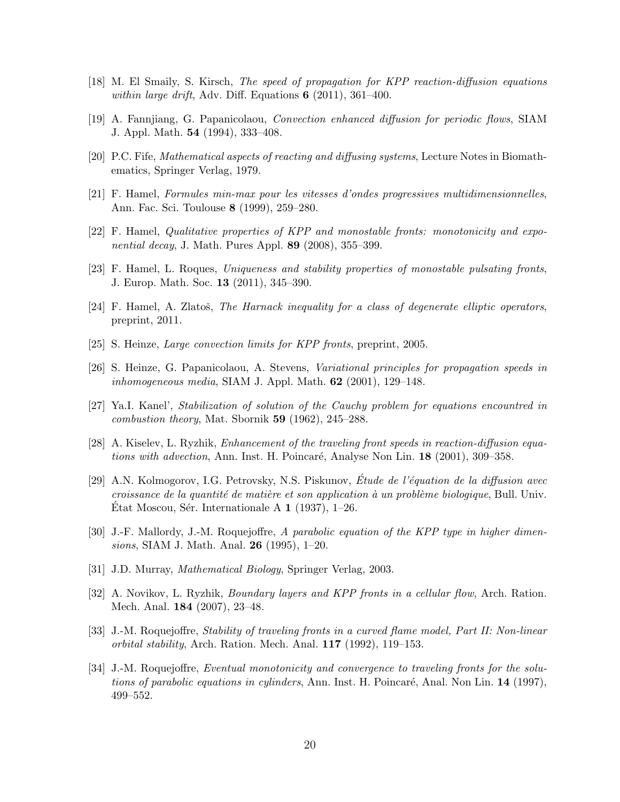- [18] M. El Smaily, S. Kirsch, The speed of propagation for KPP reaction-diffusion equations within large drift, Adv. Diff. Equations  $6$  (2011), 361–400.
- [19] A. Fannjiang, G. Papanicolaou, Convection enhanced diffusion for periodic flows, SIAM J. Appl. Math. 54 (1994), 333–408.
- [20] P.C. Fife, Mathematical aspects of reacting and diffusing systems, Lecture Notes in Biomathematics, Springer Verlag, 1979.
- [21] F. Hamel, Formules min-max pour les vitesses d'ondes progressives multidimensionnelles, Ann. Fac. Sci. Toulouse 8 (1999), 259–280.
- [22] F. Hamel, Qualitative properties of KPP and monostable fronts: monotonicity and expo*nential decay*, J. Math. Pures Appl. 89  $(2008)$ , 355–399.
- [23] F. Hamel, L. Roques, Uniqueness and stability properties of monostable pulsating fronts, J. Europ. Math. Soc. 13 (2011), 345–390.
- $[24]$  F. Hamel, A. Zlatoš, The Harnack inequality for a class of degenerate elliptic operators, preprint, 2011.
- [25] S. Heinze, *Large convection limits for KPP fronts*, preprint, 2005.
- [26] S. Heinze, G. Papanicolaou, A. Stevens, Variational principles for propagation speeds in inhomogeneous media, SIAM J. Appl. Math.  $62$  (2001), 129–148.
- [27] Ya.I. Kanel', Stabilization of solution of the Cauchy problem for equations encountred in combustion theory, Mat. Sbornik 59 (1962), 245–288.
- [28] A. Kiselev, L. Ryzhik, Enhancement of the traveling front speeds in reaction-diffusion equations with advection, Ann. Inst. H. Poincaré, Analyse Non Lin. 18 (2001), 309–358.
- [29] A.N. Kolmogorov, I.G. Petrovsky, N.S. Piskunov, Étude de l'équation de la diffusion avec croissance de la quantité de matière et son application à un problème biologique, Bull. Univ. Etat Moscou, Sér. Internationale A  $1$  (1937), 1–26.
- [30] J.-F. Mallordy, J.-M. Roquejoffre, A parabolic equation of the KPP type in higher dimensions, SIAM J. Math. Anal. 26 (1995), 1–20.
- [31] J.D. Murray, *Mathematical Biology*, Springer Verlag, 2003.
- [32] A. Novikov, L. Ryzhik, Boundary layers and KPP fronts in a cellular flow, Arch. Ration. Mech. Anal. 184 (2007), 23–48.
- [33] J.-M. Roquejoffre, Stability of traveling fronts in a curved flame model, Part II: Non-linear orbital stability, Arch. Ration. Mech. Anal. 117 (1992), 119–153.
- [34] J.-M. Roquejoffre, Eventual monotonicity and convergence to traveling fronts for the solutions of parabolic equations in cylinders, Ann. Inst. H. Poincaré, Anal. Non Lin.  $14$  (1997), 499–552.